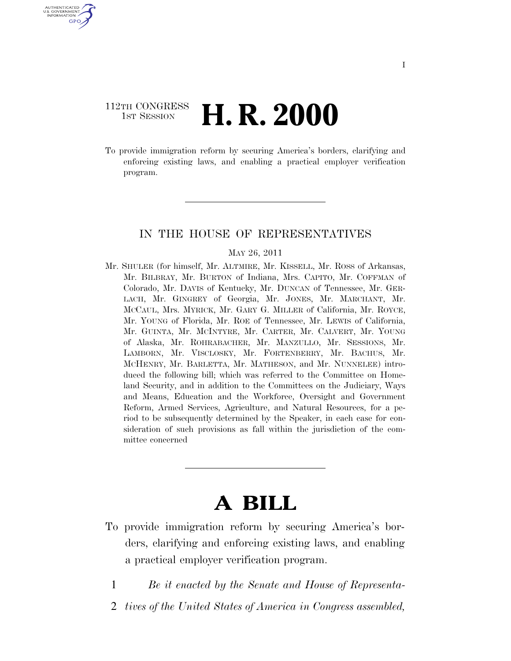# 112TH CONGRESS **1st Session H. R. 2000**

U.S. GOVERNMENT GPO

> To provide immigration reform by securing America's borders, clarifying and enforcing existing laws, and enabling a practical employer verification program.

# IN THE HOUSE OF REPRESENTATIVES

### MAY 26, 2011

Mr. SHULER (for himself, Mr. ALTMIRE, Mr. KISSELL, Mr. ROSS of Arkansas, Mr. BILBRAY, Mr. BURTON of Indiana, Mrs. CAPITO, Mr. COFFMAN of Colorado, Mr. DAVIS of Kentucky, Mr. DUNCAN of Tennessee, Mr. GER-LACH, Mr. GINGREY of Georgia, Mr. JONES, Mr. MARCHANT, Mr. MCCAUL, Mrs. MYRICK, Mr. GARY G. MILLER of California, Mr. ROYCE, Mr. YOUNG of Florida, Mr. ROE of Tennessee, Mr. LEWIS of California, Mr. GUINTA, Mr. MCINTYRE, Mr. CARTER, Mr. CALVERT, Mr. YOUNG of Alaska, Mr. ROHRABACHER, Mr. MANZULLO, Mr. SESSIONS, Mr. LAMBORN, Mr. VISCLOSKY, Mr. FORTENBERRY, Mr. BACHUS, Mr. MCHENRY, Mr. BARLETTA, Mr. MATHESON, and Mr. NUNNELEE) introduced the following bill; which was referred to the Committee on Homeland Security, and in addition to the Committees on the Judiciary, Ways and Means, Education and the Workforce, Oversight and Government Reform, Armed Services, Agriculture, and Natural Resources, for a period to be subsequently determined by the Speaker, in each case for consideration of such provisions as fall within the jurisdiction of the committee concerned

# **A BILL**

- To provide immigration reform by securing America's borders, clarifying and enforcing existing laws, and enabling a practical employer verification program.
	- 1 *Be it enacted by the Senate and House of Representa-*
	- 2 *tives of the United States of America in Congress assembled,*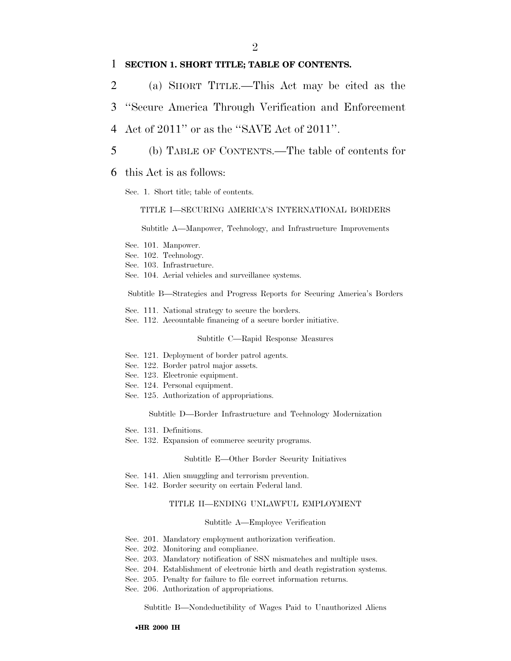### 1 **SECTION 1. SHORT TITLE; TABLE OF CONTENTS.**

- 2 (a) SHORT TITLE.—This Act may be cited as the
- 3 ''Secure America Through Verification and Enforcement
- 4 Act of 2011'' or as the ''SAVE Act of 2011''.
- 5 (b) TABLE OF CONTENTS.—The table of contents for
- 6 this Act is as follows:
	- Sec. 1. Short title; table of contents.

### TITLE I—SECURING AMERICA'S INTERNATIONAL BORDERS

Subtitle A—Manpower, Technology, and Infrastructure Improvements

- Sec. 101. Manpower.
- Sec. 102. Technology.
- Sec. 103. Infrastructure.
- Sec. 104. Aerial vehicles and surveillance systems.

Subtitle B—Strategies and Progress Reports for Securing America's Borders

- Sec. 111. National strategy to secure the borders.
- Sec. 112. Accountable financing of a secure border initiative.

#### Subtitle C—Rapid Response Measures

- Sec. 121. Deployment of border patrol agents.
- Sec. 122. Border patrol major assets.
- Sec. 123. Electronic equipment.
- Sec. 124. Personal equipment.
- Sec. 125. Authorization of appropriations.

Subtitle D—Border Infrastructure and Technology Modernization

- Sec. 131. Definitions.
- Sec. 132. Expansion of commerce security programs.

#### Subtitle E—Other Border Security Initiatives

- Sec. 141. Alien smuggling and terrorism prevention.
- Sec. 142. Border security on certain Federal land.

#### TITLE II—ENDING UNLAWFUL EMPLOYMENT

#### Subtitle A—Employee Verification

- Sec. 201. Mandatory employment authorization verification.
- Sec. 202. Monitoring and compliance.
- Sec. 203. Mandatory notification of SSN mismatches and multiple uses.
- Sec. 204. Establishment of electronic birth and death registration systems.
- Sec. 205. Penalty for failure to file correct information returns.
- Sec. 206. Authorization of appropriations.

Subtitle B—Nondeductibility of Wages Paid to Unauthorized Aliens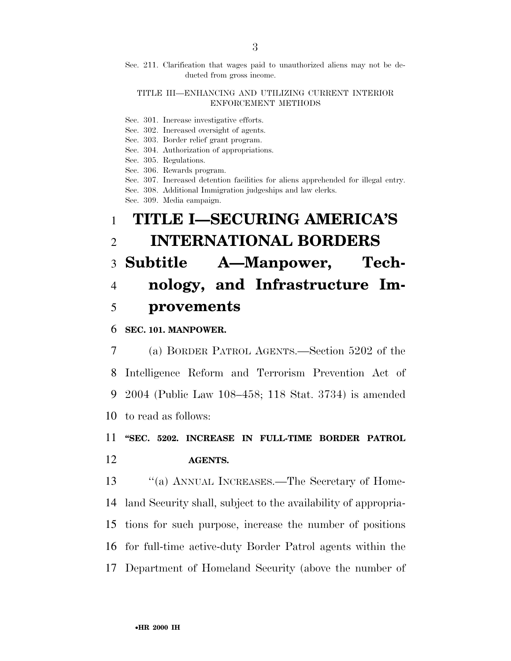### TITLE III—ENHANCING AND UTILIZING CURRENT INTERIOR ENFORCEMENT METHODS

- Sec. 301. Increase investigative efforts.
- Sec. 302. Increased oversight of agents.
- Sec. 303. Border relief grant program.
- Sec. 304. Authorization of appropriations.
- Sec. 305. Regulations.
- Sec. 306. Rewards program.
- Sec. 307. Increased detention facilities for aliens apprehended for illegal entry.
- Sec. 308. Additional Immigration judgeships and law clerks.
- Sec. 309. Media campaign.

# 1 **TITLE I—SECURING AMERICA'S**  2 **INTERNATIONAL BORDERS**

# 3 **Subtitle A—Manpower, Tech-**4 **nology, and Infrastructure Im-**5 **provements**

## 6 **SEC. 101. MANPOWER.**

 (a) BORDER PATROL AGENTS.—Section 5202 of the Intelligence Reform and Terrorism Prevention Act of 2004 (Public Law 108–458; 118 Stat. 3734) is amended to read as follows:

# 11 **''SEC. 5202. INCREASE IN FULL-TIME BORDER PATROL**  12 **AGENTS.**

13 "(a) ANNUAL INCREASES.—The Secretary of Home- land Security shall, subject to the availability of appropria- tions for such purpose, increase the number of positions for full-time active-duty Border Patrol agents within the Department of Homeland Security (above the number of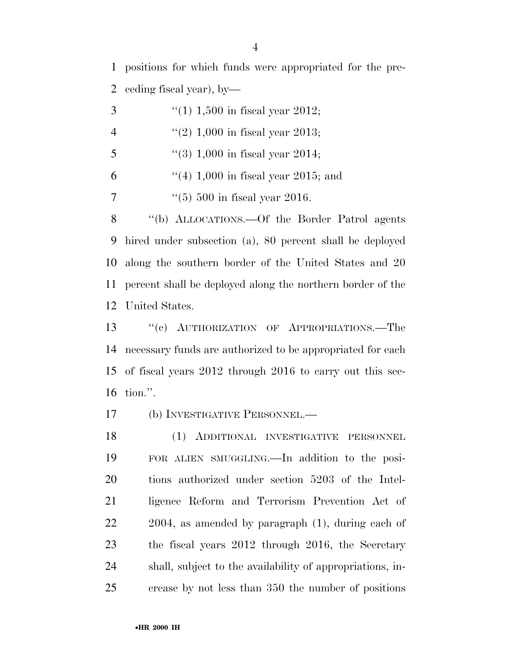positions for which funds were appropriated for the pre-ceding fiscal year), by—

- 3  $\frac{1}{1,500}$  in fiscal year 2012; 4  $\frac{4}{2}$  (2) 1,000 in fiscal year 2013; 5  $\frac{4}{3}$  (3) 1,000 in fiscal year 2014; 6  $(4)$  1,000 in fiscal year 2015; and
- 7  $\frac{1}{(5)}$  500 in fiscal year 2016.

 ''(b) ALLOCATIONS.—Of the Border Patrol agents hired under subsection (a), 80 percent shall be deployed along the southern border of the United States and 20 percent shall be deployed along the northern border of the United States.

13 "(c) AUTHORIZATION OF APPROPRIATIONS.—The necessary funds are authorized to be appropriated for each of fiscal years 2012 through 2016 to carry out this sec-tion.''.

(b) INVESTIGATIVE PERSONNEL.—

 (1) ADDITIONAL INVESTIGATIVE PERSONNEL FOR ALIEN SMUGGLING.—In addition to the posi- tions authorized under section 5203 of the Intel- ligence Reform and Terrorism Prevention Act of 2004, as amended by paragraph (1), during each of the fiscal years 2012 through 2016, the Secretary shall, subject to the availability of appropriations, in-crease by not less than 350 the number of positions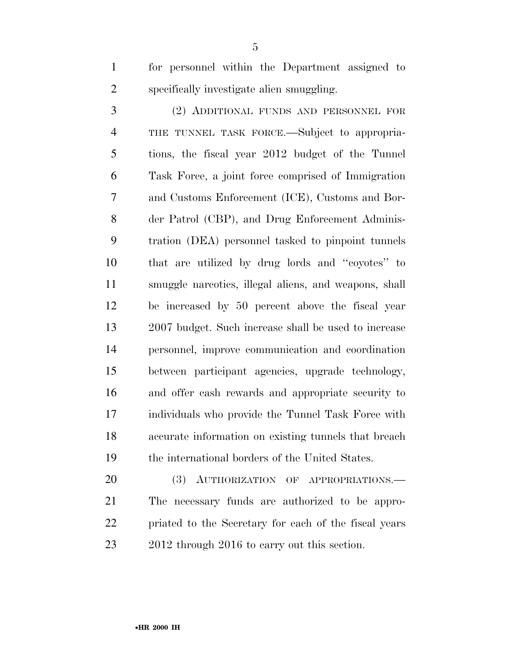for personnel within the Department assigned to specifically investigate alien smuggling.

 (2) ADDITIONAL FUNDS AND PERSONNEL FOR THE TUNNEL TASK FORCE.—Subject to appropria- tions, the fiscal year 2012 budget of the Tunnel Task Force, a joint force comprised of Immigration and Customs Enforcement (ICE), Customs and Bor- der Patrol (CBP), and Drug Enforcement Adminis- tration (DEA) personnel tasked to pinpoint tunnels that are utilized by drug lords and ''coyotes'' to smuggle narcotics, illegal aliens, and weapons, shall be increased by 50 percent above the fiscal year 2007 budget. Such increase shall be used to increase personnel, improve communication and coordination between participant agencies, upgrade technology, and offer cash rewards and appropriate security to individuals who provide the Tunnel Task Force with accurate information on existing tunnels that breach the international borders of the United States.

20 (3) AUTHORIZATION OF APPROPRIATIONS.— The necessary funds are authorized to be appro- priated to the Secretary for each of the fiscal years 23 2012 through 2016 to carry out this section.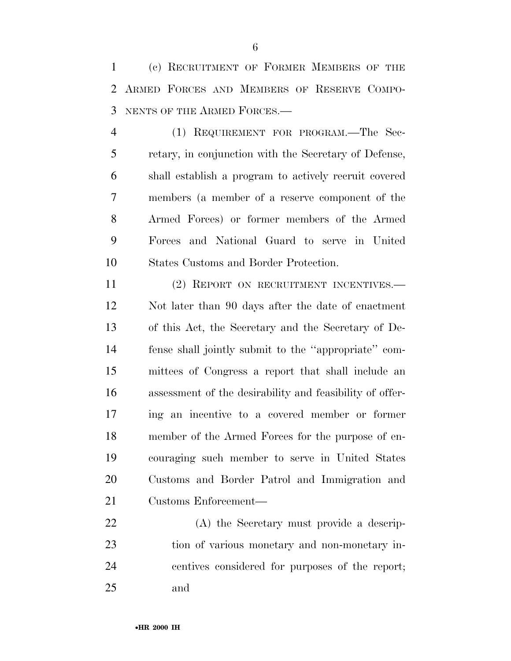(c) RECRUITMENT OF FORMER MEMBERS OF THE ARMED FORCES AND MEMBERS OF RESERVE COMPO-NENTS OF THE ARMED FORCES.—

 (1) REQUIREMENT FOR PROGRAM.—The Sec- retary, in conjunction with the Secretary of Defense, shall establish a program to actively recruit covered members (a member of a reserve component of the Armed Forces) or former members of the Armed Forces and National Guard to serve in United States Customs and Border Protection.

 (2) REPORT ON RECRUITMENT INCENTIVES.— Not later than 90 days after the date of enactment of this Act, the Secretary and the Secretary of De- fense shall jointly submit to the ''appropriate'' com- mittees of Congress a report that shall include an assessment of the desirability and feasibility of offer- ing an incentive to a covered member or former member of the Armed Forces for the purpose of en- couraging such member to serve in United States Customs and Border Patrol and Immigration and Customs Enforcement—

 (A) the Secretary must provide a descrip- tion of various monetary and non-monetary in- centives considered for purposes of the report; and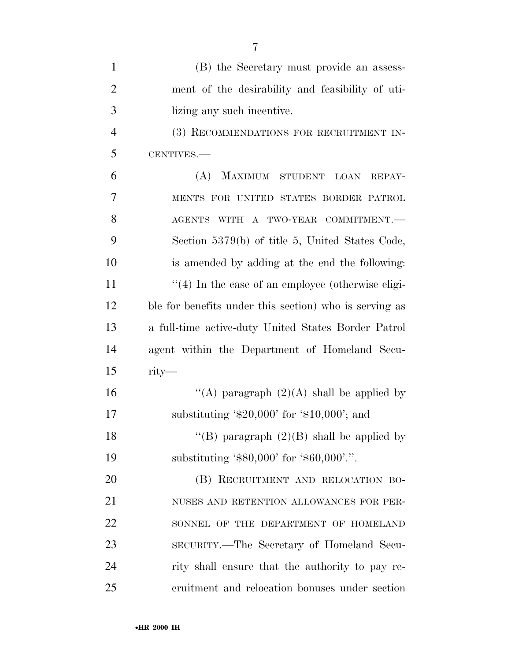| $\mathbf{1}$   | (B) the Secretary must provide an assess-              |
|----------------|--------------------------------------------------------|
| $\overline{2}$ | ment of the desirability and feasibility of uti-       |
| 3              | lizing any such incentive.                             |
| $\overline{4}$ | (3) RECOMMENDATIONS FOR RECRUITMENT IN-                |
| 5              | CENTIVES.-                                             |
| 6              | MAXIMUM STUDENT<br>(A)<br><b>LOAN</b><br>REPAY-        |
| 7              | MENTS FOR UNITED STATES BORDER PATROL                  |
| 8              | AGENTS WITH A TWO-YEAR COMMITMENT.-                    |
| 9              | Section 5379(b) of title 5, United States Code,        |
| 10             | is amended by adding at the end the following:         |
| 11             | $\lq(4)$ In the case of an employee (otherwise eligi-  |
| 12             | ble for benefits under this section) who is serving as |
| 13             | a full-time active-duty United States Border Patrol    |
| 14             | agent within the Department of Homeland Secu-          |
| 15             | $rity$ —                                               |
| 16             | "(A) paragraph $(2)(A)$ shall be applied by            |
| 17             | substituting ' $$20,000'$ for ' $$10,000'$ ; and       |
| 18             | "(B) paragraph $(2)(B)$ shall be applied by            |
| 19             | substituting ' $$80,000'$ for ' $$60,000'$ '.".        |
| 20             | (B) RECRUITMENT AND RELOCATION BO-                     |
| 21             | NUSES AND RETENTION ALLOWANCES FOR PER-                |
| 22             | SONNEL OF THE DEPARTMENT OF HOMELAND                   |
| 23             | SECURITY.—The Secretary of Homeland Secu-              |
| 24             | rity shall ensure that the authority to pay re-        |
| 25             | cruitment and relocation bonuses under section         |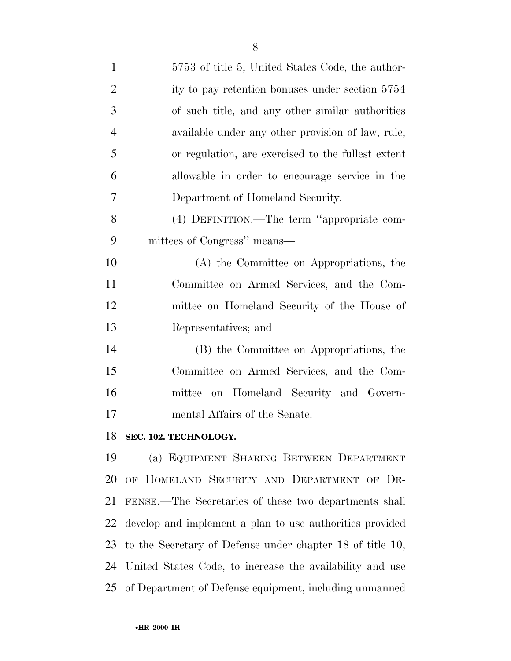| $\mathbf{1}$   | 5753 of title 5, United States Code, the author-          |
|----------------|-----------------------------------------------------------|
| $\overline{2}$ | ity to pay retention bonuses under section 5754           |
| 3              | of such title, and any other similar authorities          |
| $\overline{4}$ | available under any other provision of law, rule,         |
| 5              | or regulation, are exercised to the fullest extent        |
| 6              | allowable in order to encourage service in the            |
| 7              | Department of Homeland Security.                          |
| 8              | (4) DEFINITION.—The term "appropriate com-                |
| 9              | mittees of Congress" means—                               |
| 10             | (A) the Committee on Appropriations, the                  |
| 11             | Committee on Armed Services, and the Com-                 |
| 12             | mittee on Homeland Security of the House of               |
| 13             | Representatives; and                                      |
| 14             | (B) the Committee on Appropriations, the                  |
| 15             | Committee on Armed Services, and the Com-                 |
| 16             | mittee on Homeland Security and Govern-                   |
| 17             | mental Affairs of the Senate.                             |
| 18             | SEC. 102. TECHNOLOGY.                                     |
| 19             | (a) EQUIPMENT SHARING BETWEEN DEPARTMENT                  |
| 20             | OF HOMELAND SECURITY AND DEPARTMENT OF DE-                |
| 21             | FENSE.—The Secretaries of these two departments shall     |
| 22             | develop and implement a plan to use authorities provided  |
| 23             | to the Secretary of Defense under chapter 18 of title 10, |

of Department of Defense equipment, including unmanned

United States Code, to increase the availability and use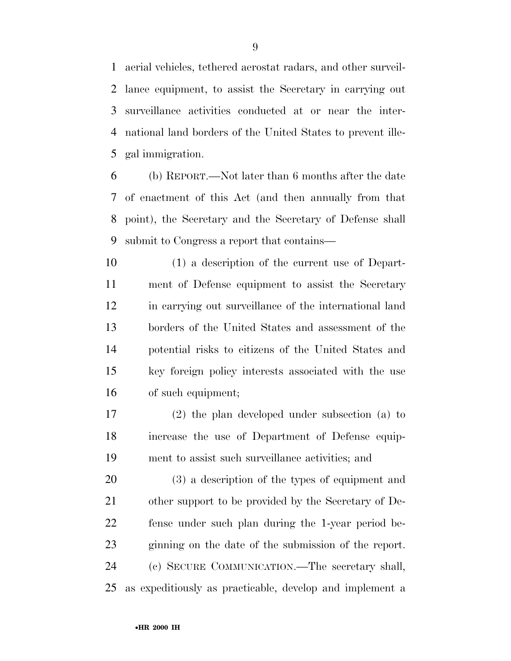aerial vehicles, tethered aerostat radars, and other surveil- lance equipment, to assist the Secretary in carrying out surveillance activities conducted at or near the inter- national land borders of the United States to prevent ille-gal immigration.

 (b) REPORT.—Not later than 6 months after the date of enactment of this Act (and then annually from that point), the Secretary and the Secretary of Defense shall submit to Congress a report that contains—

 (1) a description of the current use of Depart- ment of Defense equipment to assist the Secretary in carrying out surveillance of the international land borders of the United States and assessment of the potential risks to citizens of the United States and key foreign policy interests associated with the use of such equipment;

 (2) the plan developed under subsection (a) to increase the use of Department of Defense equip-ment to assist such surveillance activities; and

 (3) a description of the types of equipment and other support to be provided by the Secretary of De- fense under such plan during the 1-year period be- ginning on the date of the submission of the report. (c) SECURE COMMUNICATION.—The secretary shall, as expeditiously as practicable, develop and implement a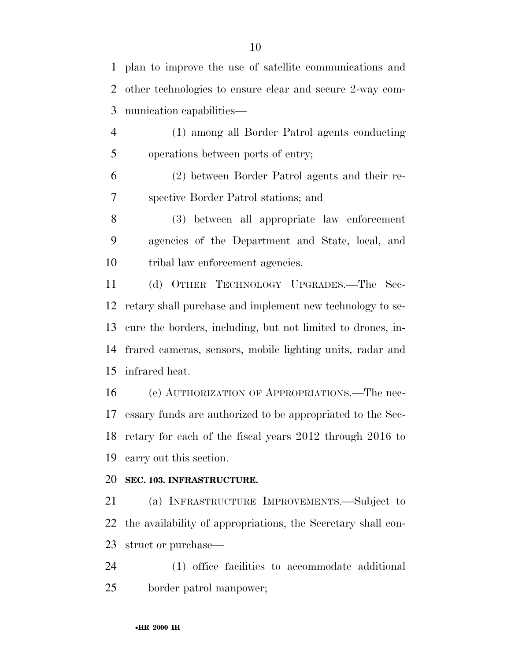plan to improve the use of satellite communications and other technologies to ensure clear and secure 2-way com-munication capabilities—

 (1) among all Border Patrol agents conducting operations between ports of entry;

 (2) between Border Patrol agents and their re-spective Border Patrol stations; and

 (3) between all appropriate law enforcement agencies of the Department and State, local, and tribal law enforcement agencies.

 (d) OTHER TECHNOLOGY UPGRADES.—The Sec- retary shall purchase and implement new technology to se- cure the borders, including, but not limited to drones, in- frared cameras, sensors, mobile lighting units, radar and infrared heat.

 (e) AUTHORIZATION OF APPROPRIATIONS.—The nec- essary funds are authorized to be appropriated to the Sec- retary for each of the fiscal years 2012 through 2016 to carry out this section.

# **SEC. 103. INFRASTRUCTURE.**

 (a) INFRASTRUCTURE IMPROVEMENTS.—Subject to the availability of appropriations, the Secretary shall con-struct or purchase—

 (1) office facilities to accommodate additional border patrol manpower;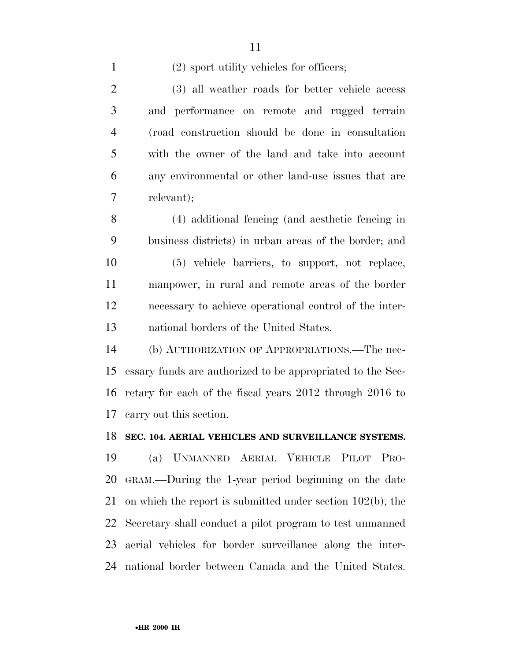1 (2) sport utility vehicles for officers;

 (3) all weather roads for better vehicle access and performance on remote and rugged terrain (road construction should be done in consultation with the owner of the land and take into account any environmental or other land-use issues that are relevant);

 (4) additional fencing (and aesthetic fencing in business districts) in urban areas of the border; and (5) vehicle barriers, to support, not replace,

 manpower, in rural and remote areas of the border necessary to achieve operational control of the inter-national borders of the United States.

 (b) AUTHORIZATION OF APPROPRIATIONS.—The nec- essary funds are authorized to be appropriated to the Sec- retary for each of the fiscal years 2012 through 2016 to carry out this section.

# **SEC. 104. AERIAL VEHICLES AND SURVEILLANCE SYSTEMS.**

 (a) UNMANNED AERIAL VEHICLE PILOT PRO- GRAM.—During the 1-year period beginning on the date on which the report is submitted under section 102(b), the Secretary shall conduct a pilot program to test unmanned aerial vehicles for border surveillance along the inter-national border between Canada and the United States.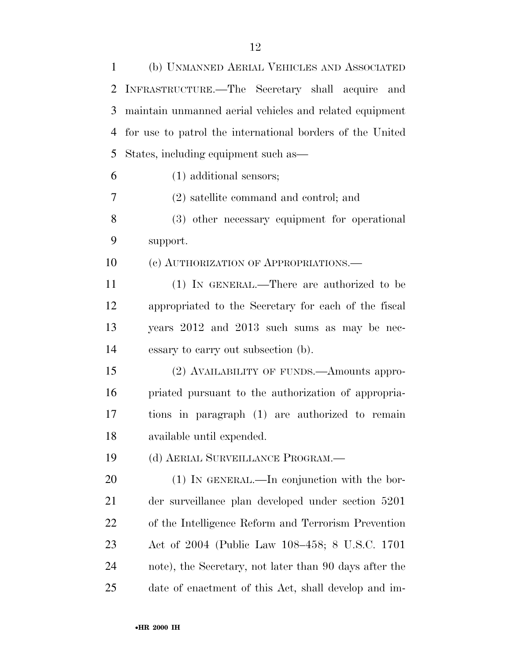| $\mathbf{1}$ | (b) UNMANNED AERIAL VEHICLES AND ASSOCIATED               |
|--------------|-----------------------------------------------------------|
| 2            | INFRASTRUCTURE.—The Secretary shall acquire and           |
| 3            | maintain unmanned aerial vehicles and related equipment   |
| 4            | for use to patrol the international borders of the United |
| 5            | States, including equipment such as—                      |
| 6            | (1) additional sensors;                                   |
| 7            | (2) satellite command and control; and                    |
| 8            | (3) other necessary equipment for operational             |
| 9            | support.                                                  |
| 10           | (c) AUTHORIZATION OF APPROPRIATIONS.—                     |
| 11           | (1) IN GENERAL.—There are authorized to be                |
| 12           | appropriated to the Secretary for each of the fiscal      |
| 13           | years 2012 and 2013 such sums as may be nec-              |
| 14           | essary to carry out subsection (b).                       |
| 15           | (2) AVAILABILITY OF FUNDS.—Amounts appro-                 |
| 16           | priated pursuant to the authorization of appropria-       |
| 17           | tions in paragraph (1) are authorized to remain           |
| 18           | available until expended.                                 |
| 19           | (d) AERIAL SURVEILLANCE PROGRAM.—                         |
| 20           | $(1)$ In GENERAL.—In conjunction with the bor-            |
| 21           | der surveillance plan developed under section 5201        |
| 22           | of the Intelligence Reform and Terrorism Prevention       |
| 23           | Act of 2004 (Public Law 108–458; 8 U.S.C. 1701            |
| 24           | note), the Secretary, not later than 90 days after the    |
| 25           | date of enactment of this Act, shall develop and im-      |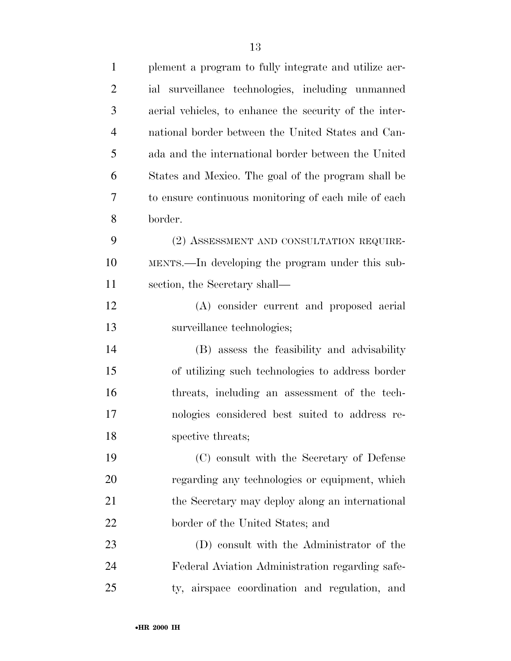| $\mathbf{1}$   | plement a program to fully integrate and utilize aer-  |
|----------------|--------------------------------------------------------|
| $\overline{2}$ | ial surveillance technologies, including unmanned      |
| 3              | aerial vehicles, to enhance the security of the inter- |
| $\overline{4}$ | national border between the United States and Can-     |
| 5              | ada and the international border between the United    |
| 6              | States and Mexico. The goal of the program shall be    |
| 7              | to ensure continuous monitoring of each mile of each   |
| 8              | border.                                                |
| 9              | (2) ASSESSMENT AND CONSULTATION REQUIRE-               |
| 10             | MENTS.—In developing the program under this sub-       |
| 11             | section, the Secretary shall—                          |
| 12             | (A) consider current and proposed aerial               |
| 13             | surveillance technologies;                             |
| 14             | (B) assess the feasibility and advisability            |
| 15             | of utilizing such technologies to address border       |
| 16             | threats, including an assessment of the tech-          |
| 17             | nologies considered best suited to address re-         |
| 18             | spective threats;                                      |
| 19             | (C) consult with the Secretary of Defense              |
| 20             | regarding any technologies or equipment, which         |
| 21             | the Secretary may deploy along an international        |
| 22             | border of the United States; and                       |
| 23             | (D) consult with the Administrator of the              |
| 24             | Federal Aviation Administration regarding safe-        |
| 25             | ty, airspace coordination and regulation, and          |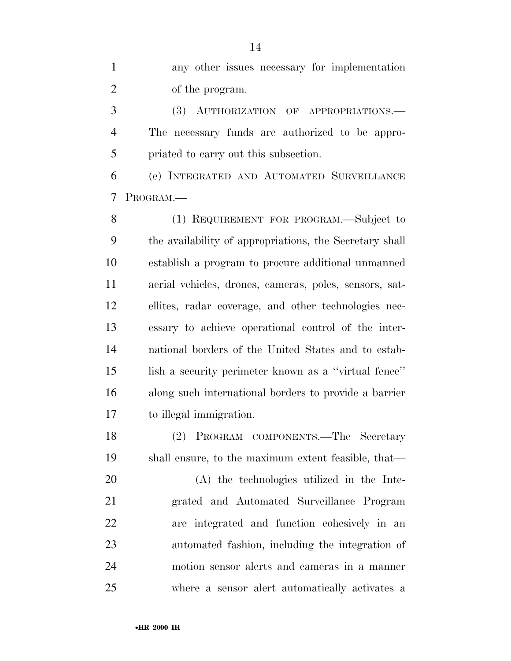any other issues necessary for implementation of the program.

 (3) AUTHORIZATION OF APPROPRIATIONS.— The necessary funds are authorized to be appro-priated to carry out this subsection.

 (e) INTEGRATED AND AUTOMATED SURVEILLANCE PROGRAM.—

 (1) REQUIREMENT FOR PROGRAM.—Subject to the availability of appropriations, the Secretary shall establish a program to procure additional unmanned aerial vehicles, drones, cameras, poles, sensors, sat- ellites, radar coverage, and other technologies nec- essary to achieve operational control of the inter- national borders of the United States and to estab- lish a security perimeter known as a ''virtual fence'' along such international borders to provide a barrier to illegal immigration.

 (2) PROGRAM COMPONENTS.—The Secretary shall ensure, to the maximum extent feasible, that—

 (A) the technologies utilized in the Inte- grated and Automated Surveillance Program are integrated and function cohesively in an automated fashion, including the integration of motion sensor alerts and cameras in a manner where a sensor alert automatically activates a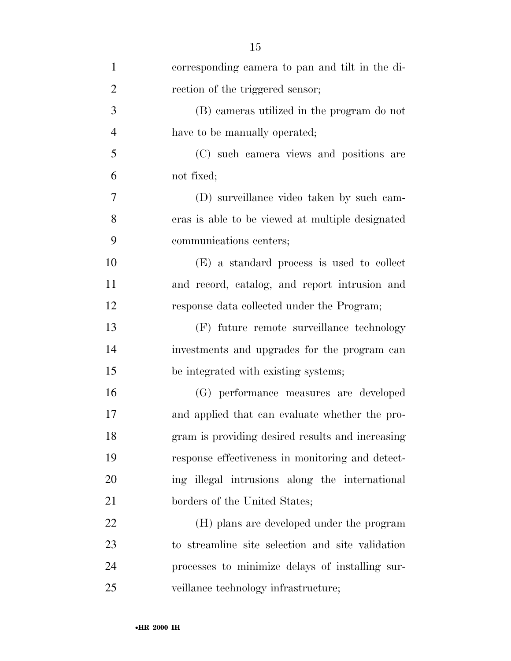| $\mathbf{1}$   | corresponding camera to pan and tilt in the di-  |
|----------------|--------------------------------------------------|
| $\overline{2}$ | rection of the triggered sensor;                 |
| 3              | (B) cameras utilized in the program do not       |
| $\overline{4}$ | have to be manually operated;                    |
| 5              | (C) such camera views and positions are          |
| 6              | not fixed;                                       |
| $\overline{7}$ | (D) surveillance video taken by such cam-        |
| 8              | eras is able to be viewed at multiple designated |
| 9              | communications centers;                          |
| 10             | (E) a standard process is used to collect        |
| 11             | and record, catalog, and report intrusion and    |
| 12             | response data collected under the Program;       |
| 13             | (F) future remote surveillance technology        |
| 14             | investments and upgrades for the program can     |
| 15             | be integrated with existing systems;             |
| 16             | (G) performance measures are developed           |
| 17             | and applied that can evaluate whether the pro-   |
| 18             | gram is providing desired results and increasing |
| 19             | response effectiveness in monitoring and detect- |
| 20             | ing illegal intrusions along the international   |
| 21             | borders of the United States;                    |
| 22             | (H) plans are developed under the program        |
| 23             | to streamline site selection and site validation |
| 24             | processes to minimize delays of installing sur-  |
| 25             | veillance technology infrastructure;             |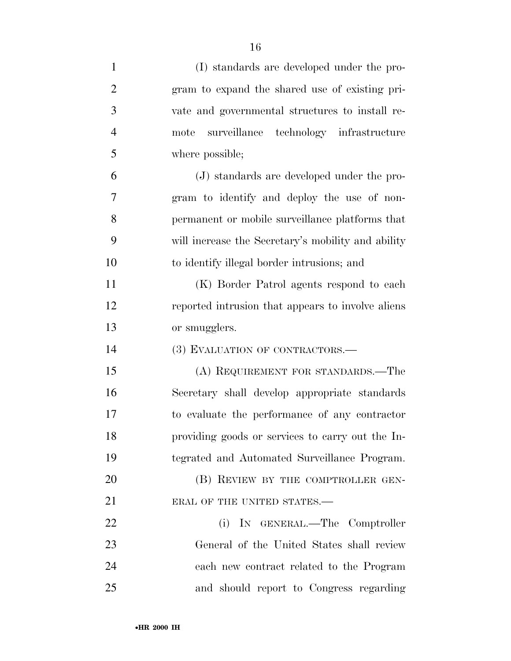| $\mathbf{1}$   | (I) standards are developed under the pro-         |
|----------------|----------------------------------------------------|
| $\overline{2}$ | gram to expand the shared use of existing pri-     |
| 3              | vate and governmental structures to install re-    |
| $\overline{4}$ | surveillance technology infrastructure<br>mote     |
| 5              | where possible;                                    |
| 6              | (J) standards are developed under the pro-         |
| 7              | gram to identify and deploy the use of non-        |
| 8              | permanent or mobile surveillance platforms that    |
| 9              | will increase the Secretary's mobility and ability |
| 10             | to identify illegal border intrusions; and         |
| 11             | (K) Border Patrol agents respond to each           |
| 12             | reported intrusion that appears to involve aliens  |
| 13             | or smugglers.                                      |
| 14             | (3) EVALUATION OF CONTRACTORS.—                    |
| 15             | (A) REQUIREMENT FOR STANDARDS.—The                 |
| 16             | Secretary shall develop appropriate standards      |
| 17             | to evaluate the performance of any contractor      |
| 18             | providing goods or services to carry out the In-   |
| 19             | tegrated and Automated Surveillance Program.       |
| 20             | (B) REVIEW BY THE COMPTROLLER GEN-                 |
| 21             | ERAL OF THE UNITED STATES.-                        |
| 22             | (i) IN GENERAL.—The Comptroller                    |
|                |                                                    |
| 23             | General of the United States shall review          |
| 24             | each new contract related to the Program           |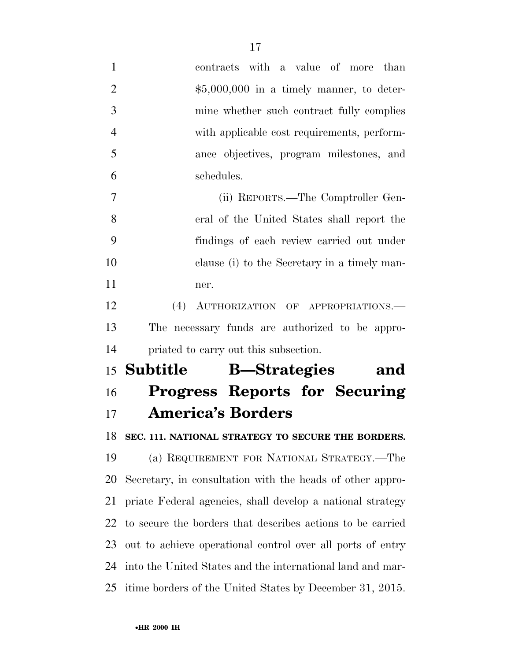| $\mathbf{1}$   | contracts with a value of more than                        |
|----------------|------------------------------------------------------------|
| $\overline{2}$ | $$5,000,000$ in a timely manner, to deter-                 |
| 3              | mine whether such contract fully complies                  |
| $\overline{4}$ | with applicable cost requirements, perform-                |
| 5              | ance objectives, program milestones, and                   |
| 6              | schedules.                                                 |
| $\overline{7}$ | (ii) REPORTS.—The Comptroller Gen-                         |
| 8              | eral of the United States shall report the                 |
| 9              | findings of each review carried out under                  |
| 10             | clause (i) to the Secretary in a timely man-               |
| 11             | ner.                                                       |
| 12             | (4)<br>AUTHORIZATION OF APPROPRIATIONS.                    |
| 13             | The necessary funds are authorized to be appro-            |
| 14             | priated to carry out this subsection.                      |
|                |                                                            |
| 15             | <b>B</b> —Strategies<br>Subtitle<br>and                    |
| 16             | Progress Reports for Securing                              |
| 17             | <b>America's Borders</b>                                   |
|                | 18 SEC. 111. NATIONAL STRATEGY TO SECURE THE BORDERS.      |
| 19             | (a) REQUIREMENT FOR NATIONAL STRATEGY.—The                 |
| 20             | Secretary, in consultation with the heads of other appro-  |
| 21             | priate Federal agencies, shall develop a national strategy |
| 22             | to secure the borders that describes actions to be carried |
| 23             | out to achieve operational control over all ports of entry |
| 24             | into the United States and the international land and mar- |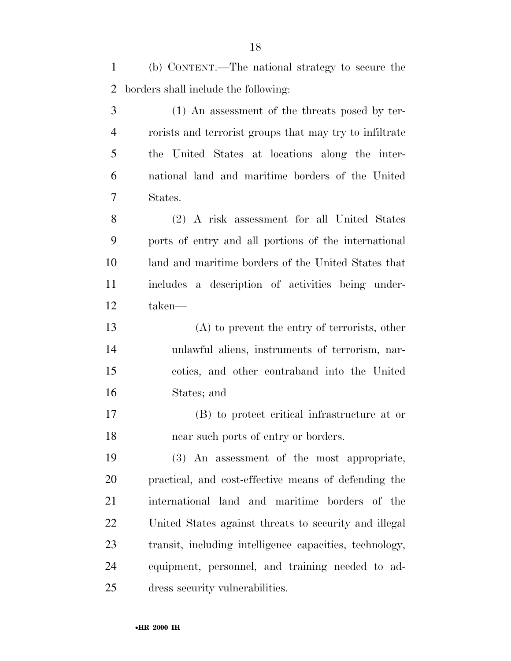(b) CONTENT.—The national strategy to secure the borders shall include the following:

 (1) An assessment of the threats posed by ter- rorists and terrorist groups that may try to infiltrate the United States at locations along the inter- national land and maritime borders of the United States.

 (2) A risk assessment for all United States ports of entry and all portions of the international land and maritime borders of the United States that includes a description of activities being under-taken—

 (A) to prevent the entry of terrorists, other unlawful aliens, instruments of terrorism, nar- cotics, and other contraband into the United States; and

 (B) to protect critical infrastructure at or near such ports of entry or borders.

 (3) An assessment of the most appropriate, practical, and cost-effective means of defending the international land and maritime borders of the United States against threats to security and illegal transit, including intelligence capacities, technology, equipment, personnel, and training needed to ad-dress security vulnerabilities.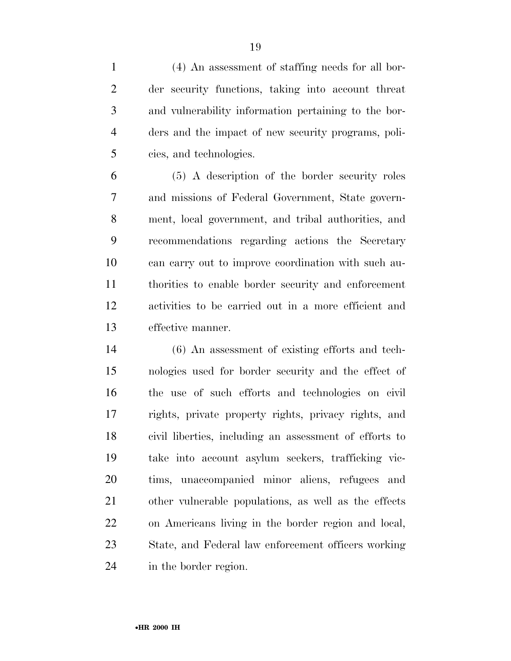(4) An assessment of staffing needs for all bor- der security functions, taking into account threat and vulnerability information pertaining to the bor- ders and the impact of new security programs, poli-cies, and technologies.

 (5) A description of the border security roles and missions of Federal Government, State govern- ment, local government, and tribal authorities, and recommendations regarding actions the Secretary can carry out to improve coordination with such au- thorities to enable border security and enforcement activities to be carried out in a more efficient and effective manner.

 (6) An assessment of existing efforts and tech- nologies used for border security and the effect of the use of such efforts and technologies on civil rights, private property rights, privacy rights, and civil liberties, including an assessment of efforts to take into account asylum seekers, trafficking vic- tims, unaccompanied minor aliens, refugees and other vulnerable populations, as well as the effects on Americans living in the border region and local, State, and Federal law enforcement officers working in the border region.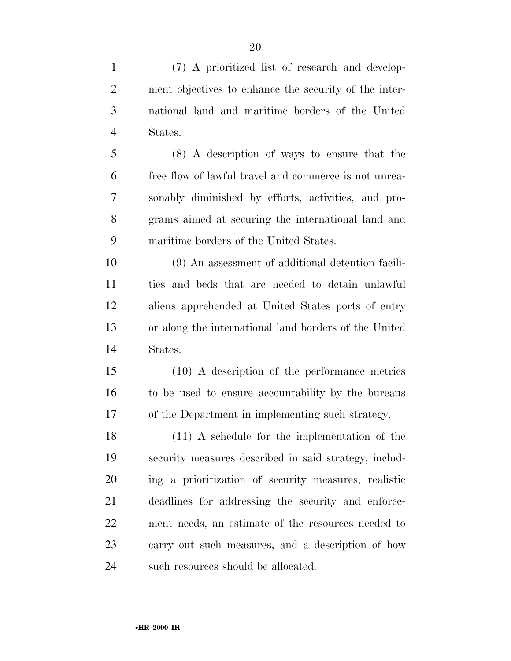(7) A prioritized list of research and develop- ment objectives to enhance the security of the inter- national land and maritime borders of the United States.

 (8) A description of ways to ensure that the free flow of lawful travel and commerce is not unrea- sonably diminished by efforts, activities, and pro- grams aimed at securing the international land and maritime borders of the United States.

 (9) An assessment of additional detention facili- ties and beds that are needed to detain unlawful aliens apprehended at United States ports of entry or along the international land borders of the United States.

 (10) A description of the performance metrics to be used to ensure accountability by the bureaus of the Department in implementing such strategy.

 (11) A schedule for the implementation of the security measures described in said strategy, includ- ing a prioritization of security measures, realistic deadlines for addressing the security and enforce- ment needs, an estimate of the resources needed to carry out such measures, and a description of how 24 such resources should be allocated.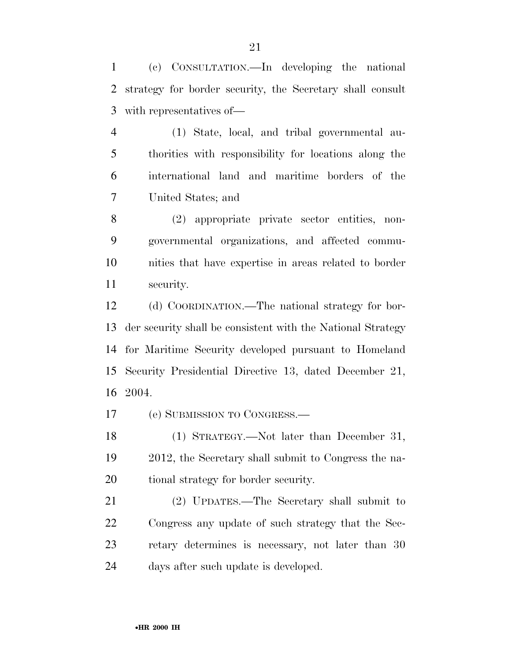(c) CONSULTATION.—In developing the national strategy for border security, the Secretary shall consult with representatives of—

 (1) State, local, and tribal governmental au- thorities with responsibility for locations along the international land and maritime borders of the United States; and

 (2) appropriate private sector entities, non- governmental organizations, and affected commu- nities that have expertise in areas related to border security.

 (d) COORDINATION.—The national strategy for bor- der security shall be consistent with the National Strategy for Maritime Security developed pursuant to Homeland Security Presidential Directive 13, dated December 21, 2004.

(e) SUBMISSION TO CONGRESS.—

 (1) STRATEGY.—Not later than December 31, 2012, the Secretary shall submit to Congress the na-tional strategy for border security.

 (2) UPDATES.—The Secretary shall submit to Congress any update of such strategy that the Sec- retary determines is necessary, not later than 30 days after such update is developed.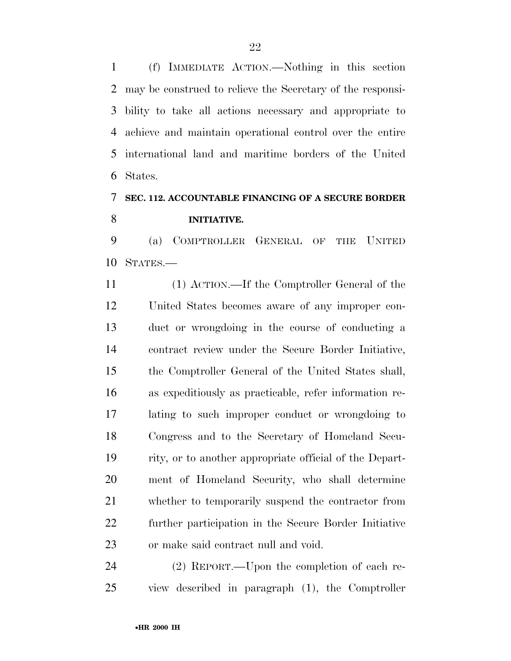(f) IMMEDIATE ACTION.—Nothing in this section may be construed to relieve the Secretary of the responsi- bility to take all actions necessary and appropriate to achieve and maintain operational control over the entire international land and maritime borders of the United States.

# **SEC. 112. ACCOUNTABLE FINANCING OF A SECURE BORDER INITIATIVE.**

 (a) COMPTROLLER GENERAL OF THE UNITED STATES.—

 (1) ACTION.—If the Comptroller General of the United States becomes aware of any improper con- duct or wrongdoing in the course of conducting a contract review under the Secure Border Initiative, the Comptroller General of the United States shall, as expeditiously as practicable, refer information re- lating to such improper conduct or wrongdoing to Congress and to the Secretary of Homeland Secu- rity, or to another appropriate official of the Depart- ment of Homeland Security, who shall determine whether to temporarily suspend the contractor from further participation in the Secure Border Initiative or make said contract null and void.

 (2) REPORT.—Upon the completion of each re-view described in paragraph (1), the Comptroller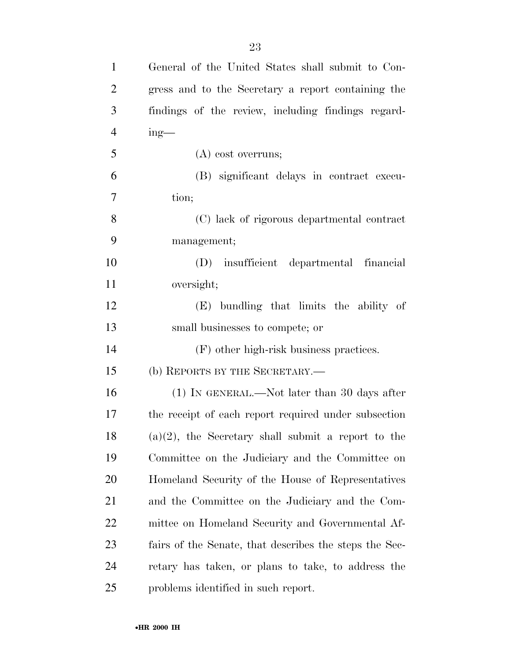| $\mathbf{1}$   | General of the United States shall submit to Con-      |
|----------------|--------------------------------------------------------|
| $\overline{2}$ | gress and to the Secretary a report containing the     |
| 3              | findings of the review, including findings regard-     |
| $\overline{4}$ | $ing$ —                                                |
| 5              | $(A)$ cost overruns;                                   |
| 6              | (B) significant delays in contract execu-              |
| 7              | tion;                                                  |
| 8              | (C) lack of rigorous departmental contract             |
| 9              | management;                                            |
| 10             | (D) insufficient departmental financial                |
| 11             | oversight;                                             |
| 12             | (E) bundling that limits the ability of                |
| 13             | small businesses to compete; or                        |
| 14             | (F) other high-risk business practices.                |
| 15             | (b) REPORTS BY THE SECRETARY.—                         |
| 16             | (1) IN GENERAL.—Not later than 30 days after           |
| 17             | the receipt of each report required under subsection   |
| 18             | $(a)(2)$ , the Secretary shall submit a report to the  |
| 19             | Committee on the Judiciary and the Committee on        |
| <b>20</b>      | Homeland Security of the House of Representatives      |
| 21             | and the Committee on the Judiciary and the Com-        |
| 22             | mittee on Homeland Security and Governmental Af-       |
| 23             | fairs of the Senate, that describes the steps the Sec- |
| 24             | retary has taken, or plans to take, to address the     |
| 25             | problems identified in such report.                    |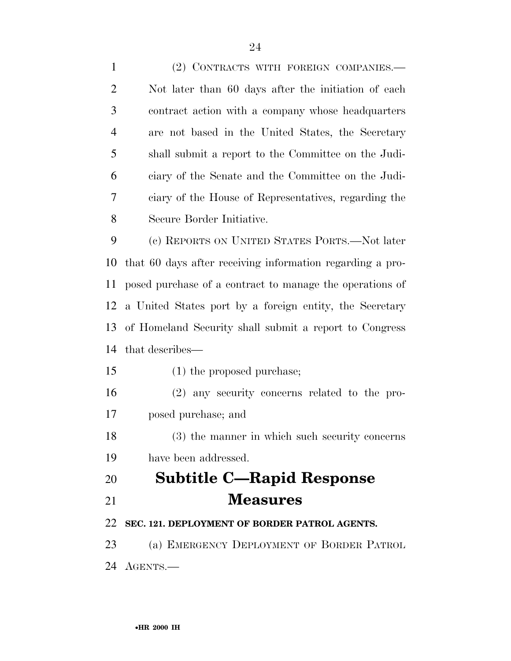(2) CONTRACTS WITH FOREIGN COMPANIES.— Not later than 60 days after the initiation of each contract action with a company whose headquarters are not based in the United States, the Secretary shall submit a report to the Committee on the Judi- ciary of the Senate and the Committee on the Judi- ciary of the House of Representatives, regarding the Secure Border Initiative. (c) REPORTS ON UNITED STATES PORTS.—Not later that 60 days after receiving information regarding a pro- posed purchase of a contract to manage the operations of a United States port by a foreign entity, the Secretary of Homeland Security shall submit a report to Congress that describes— (1) the proposed purchase; (2) any security concerns related to the pro- posed purchase; and (3) the manner in which such security concerns have been addressed. **Subtitle C—Rapid Response Measures SEC. 121. DEPLOYMENT OF BORDER PATROL AGENTS.**  (a) EMERGENCY DEPLOYMENT OF BORDER PATROL AGENTS.—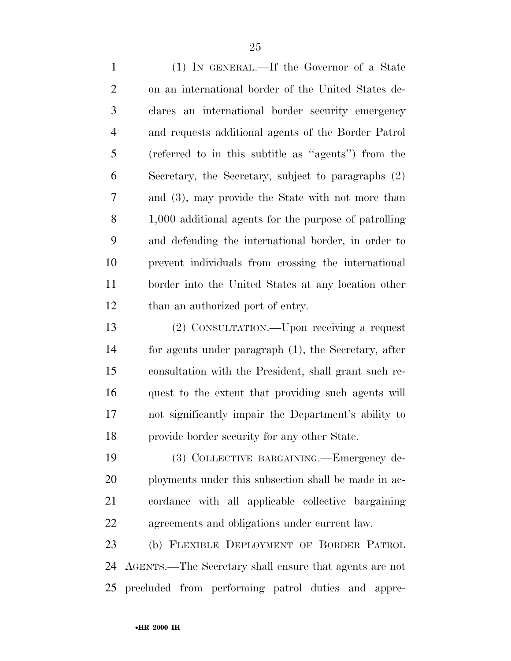(1) IN GENERAL.—If the Governor of a State on an international border of the United States de- clares an international border security emergency and requests additional agents of the Border Patrol (referred to in this subtitle as ''agents'') from the Secretary, the Secretary, subject to paragraphs (2) and (3), may provide the State with not more than 1,000 additional agents for the purpose of patrolling and defending the international border, in order to prevent individuals from crossing the international border into the United States at any location other 12 than an authorized port of entry.

 (2) CONSULTATION.—Upon receiving a request for agents under paragraph (1), the Secretary, after consultation with the President, shall grant such re- quest to the extent that providing such agents will not significantly impair the Department's ability to provide border security for any other State.

 (3) COLLECTIVE BARGAINING.—Emergency de-20 ployments under this subsection shall be made in ac- cordance with all applicable collective bargaining agreements and obligations under current law.

 (b) FLEXIBLE DEPLOYMENT OF BORDER PATROL AGENTS.—The Secretary shall ensure that agents are not precluded from performing patrol duties and appre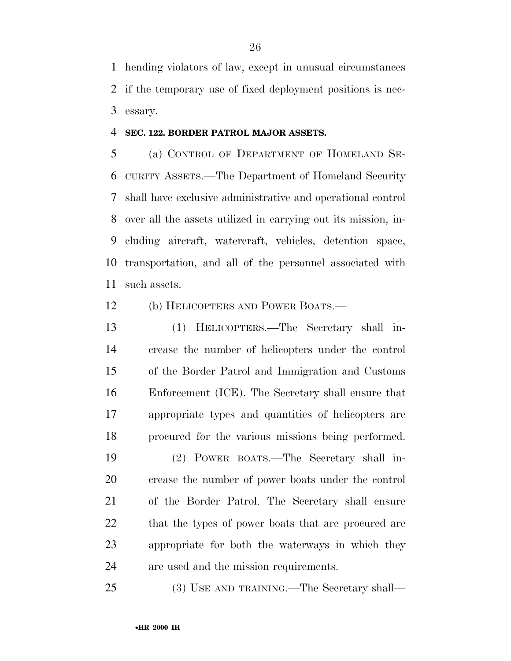hending violators of law, except in unusual circumstances if the temporary use of fixed deployment positions is nec-essary.

## **SEC. 122. BORDER PATROL MAJOR ASSETS.**

 (a) CONTROL OF DEPARTMENT OF HOMELAND SE- CURITY ASSETS.—The Department of Homeland Security shall have exclusive administrative and operational control over all the assets utilized in carrying out its mission, in- cluding aircraft, watercraft, vehicles, detention space, transportation, and all of the personnel associated with such assets.

# (b) HELICOPTERS AND POWER BOATS.—

 (1) HELICOPTERS.—The Secretary shall in- crease the number of helicopters under the control of the Border Patrol and Immigration and Customs Enforcement (ICE). The Secretary shall ensure that appropriate types and quantities of helicopters are procured for the various missions being performed.

 (2) POWER BOATS.—The Secretary shall in- crease the number of power boats under the control of the Border Patrol. The Secretary shall ensure 22 that the types of power boats that are procured are appropriate for both the waterways in which they are used and the mission requirements.

(3) USE AND TRAINING.—The Secretary shall—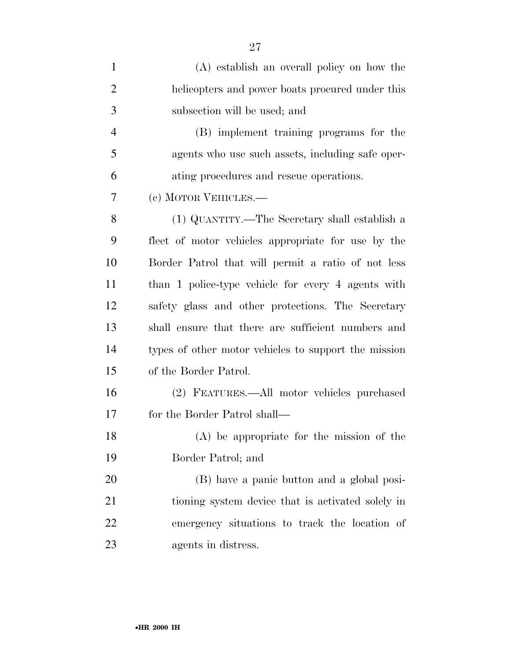| $\mathbf{1}$   | (A) establish an overall policy on how the           |
|----------------|------------------------------------------------------|
| $\overline{2}$ | helicopters and power boats procured under this      |
| 3              | subsection will be used; and                         |
| $\overline{4}$ | (B) implement training programs for the              |
| 5              | agents who use such assets, including safe oper-     |
| 6              | ating procedures and rescue operations.              |
| 7              | (c) MOTOR VEHICLES.—                                 |
| 8              | (1) QUANTITY.—The Secretary shall establish a        |
| 9              | fleet of motor vehicles appropriate for use by the   |
| 10             | Border Patrol that will permit a ratio of not less   |
| 11             | than 1 police-type vehicle for every 4 agents with   |
| 12             | safety glass and other protections. The Secretary    |
| 13             | shall ensure that there are sufficient numbers and   |
| 14             | types of other motor vehicles to support the mission |
| 15             | of the Border Patrol.                                |
| 16             | (2) FEATURES.—All motor vehicles purchased           |
| 17             | for the Border Patrol shall—                         |
| 18             | $(A)$ be appropriate for the mission of the          |
| 19             | Border Patrol; and                                   |
| 20             | (B) have a panic button and a global posi-           |
| 21             | tioning system device that is activated solely in    |
| 22             | emergency situations to track the location of        |
| 23             | agents in distress.                                  |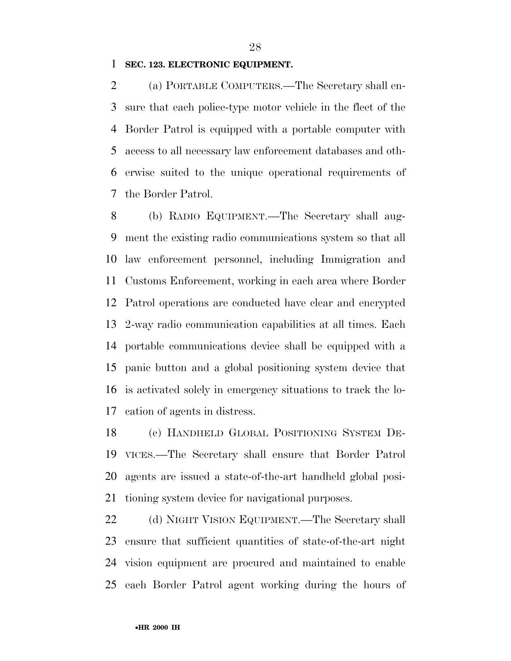### **SEC. 123. ELECTRONIC EQUIPMENT.**

 (a) PORTABLE COMPUTERS.—The Secretary shall en- sure that each police-type motor vehicle in the fleet of the Border Patrol is equipped with a portable computer with access to all necessary law enforcement databases and oth- erwise suited to the unique operational requirements of the Border Patrol.

 (b) RADIO EQUIPMENT.—The Secretary shall aug- ment the existing radio communications system so that all law enforcement personnel, including Immigration and Customs Enforcement, working in each area where Border Patrol operations are conducted have clear and encrypted 2-way radio communication capabilities at all times. Each portable communications device shall be equipped with a panic button and a global positioning system device that is activated solely in emergency situations to track the lo-cation of agents in distress.

 (c) HANDHELD GLOBAL POSITIONING SYSTEM DE- VICES.—The Secretary shall ensure that Border Patrol agents are issued a state-of-the-art handheld global posi-tioning system device for navigational purposes.

 (d) NIGHT VISION EQUIPMENT.—The Secretary shall ensure that sufficient quantities of state-of-the-art night vision equipment are procured and maintained to enable each Border Patrol agent working during the hours of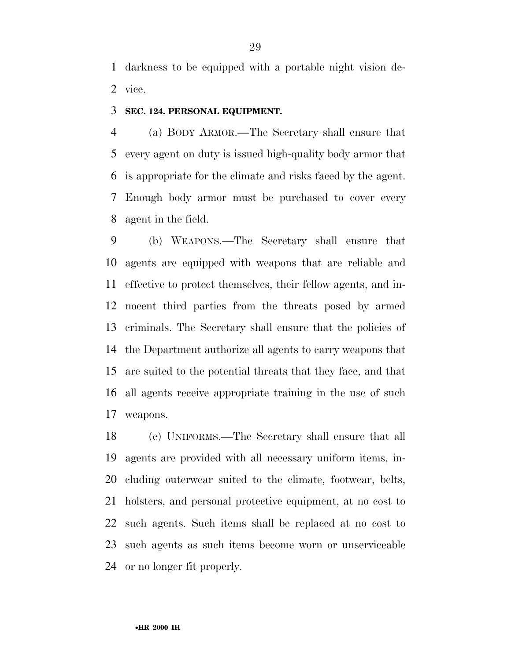darkness to be equipped with a portable night vision de-vice.

## **SEC. 124. PERSONAL EQUIPMENT.**

 (a) BODY ARMOR.—The Secretary shall ensure that every agent on duty is issued high-quality body armor that is appropriate for the climate and risks faced by the agent. Enough body armor must be purchased to cover every agent in the field.

 (b) WEAPONS.—The Secretary shall ensure that agents are equipped with weapons that are reliable and effective to protect themselves, their fellow agents, and in- nocent third parties from the threats posed by armed criminals. The Secretary shall ensure that the policies of the Department authorize all agents to carry weapons that are suited to the potential threats that they face, and that all agents receive appropriate training in the use of such weapons.

 (c) UNIFORMS.—The Secretary shall ensure that all agents are provided with all necessary uniform items, in- cluding outerwear suited to the climate, footwear, belts, holsters, and personal protective equipment, at no cost to such agents. Such items shall be replaced at no cost to such agents as such items become worn or unserviceable or no longer fit properly.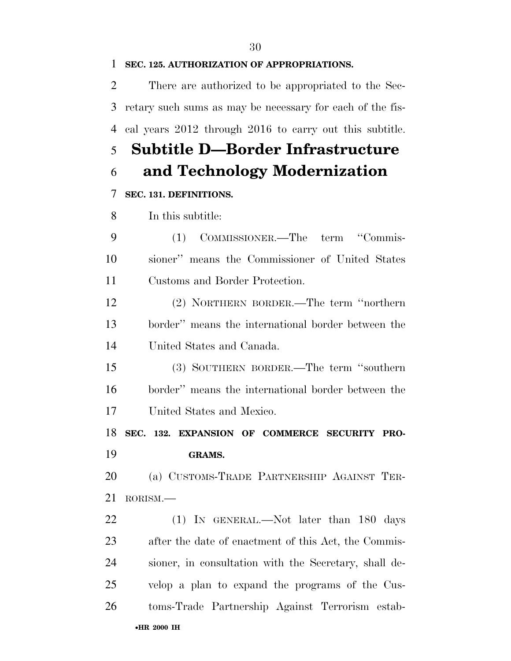# **SEC. 125. AUTHORIZATION OF APPROPRIATIONS.**

 There are authorized to be appropriated to the Sec- retary such sums as may be necessary for each of the fis-cal years 2012 through 2016 to carry out this subtitle.

# **Subtitle D—Border Infrastructure**

# **and Technology Modernization**

# **SEC. 131. DEFINITIONS.**

In this subtitle:

 (1) COMMISSIONER.—The term ''Commis- sioner'' means the Commissioner of United States Customs and Border Protection.

 (2) NORTHERN BORDER.—The term ''northern border'' means the international border between the United States and Canada.

 (3) SOUTHERN BORDER.—The term ''southern border'' means the international border between the United States and Mexico.

**SEC. 132. EXPANSION OF COMMERCE SECURITY PRO-**

**GRAMS.** 

 (a) CUSTOMS-TRADE PARTNERSHIP AGAINST TER-RORISM.—

•**HR 2000 IH** 22 (1) IN GENERAL.—Not later than 180 days after the date of enactment of this Act, the Commis- sioner, in consultation with the Secretary, shall de- velop a plan to expand the programs of the Cus-toms-Trade Partnership Against Terrorism estab-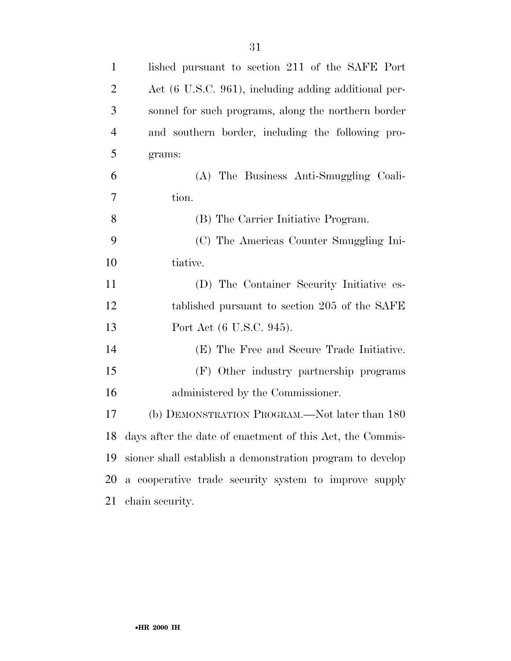| $\mathbf{1}$   | lished pursuant to section 211 of the SAFE Port              |
|----------------|--------------------------------------------------------------|
| $\overline{2}$ | Act (6 U.S.C. 961), including adding additional per-         |
| 3              | sonnel for such programs, along the northern border          |
| $\overline{4}$ | and southern border, including the following pro-            |
| 5              | grams:                                                       |
| 6              | (A) The Business Anti-Smuggling Coali-                       |
| 7              | tion.                                                        |
| 8              | (B) The Carrier Initiative Program.                          |
| 9              | (C) The Americas Counter Smuggling Ini-                      |
| 10             | tiative.                                                     |
| 11             | (D) The Container Security Initiative es-                    |
| 12             | tablished pursuant to section 205 of the SAFE                |
| 13             | Port Act (6 U.S.C. 945).                                     |
| 14             | (E) The Free and Secure Trade Initiative.                    |
| 15             | (F) Other industry partnership programs                      |
| 16             | administered by the Commissioner.                            |
| 17             | (b) DEMONSTRATION PROGRAM.—Not later than 180                |
|                | 18 days after the date of enactment of this Act, the Commis- |
| 19             | sioner shall establish a demonstration program to develop    |
| 20             | a cooperative trade security system to improve supply        |
| 21             | chain security.                                              |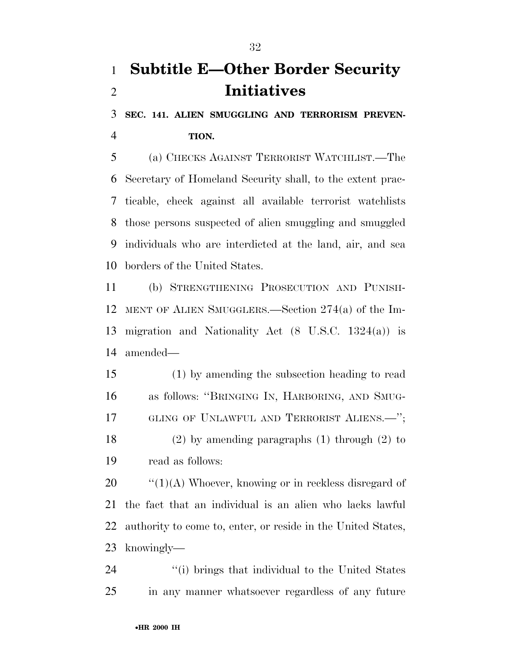# **Subtitle E—Other Border Security Initiatives**

 **SEC. 141. ALIEN SMUGGLING AND TERRORISM PREVEN-TION.** 

 (a) CHECKS AGAINST TERRORIST WATCHLIST.—The Secretary of Homeland Security shall, to the extent prac- ticable, check against all available terrorist watchlists those persons suspected of alien smuggling and smuggled individuals who are interdicted at the land, air, and sea borders of the United States.

 (b) STRENGTHENING PROSECUTION AND PUNISH- MENT OF ALIEN SMUGGLERS.—Section 274(a) of the Im- migration and Nationality Act (8 U.S.C. 1324(a)) is amended—

 (1) by amending the subsection heading to read as follows: ''BRINGING IN, HARBORING, AND SMUG-17 GLING OF UNLAWFUL AND TERRORIST ALIENS.<sup>"</sup>; (2) by amending paragraphs (1) through (2) to

read as follows:

 $\frac{1}{20}$   $\frac{1}{20}$   $\frac{1}{20}$  Whoever, knowing or in reckless disregard of the fact that an individual is an alien who lacks lawful authority to come to, enter, or reside in the United States, knowingly—

24 ''(i) brings that individual to the United States in any manner whatsoever regardless of any future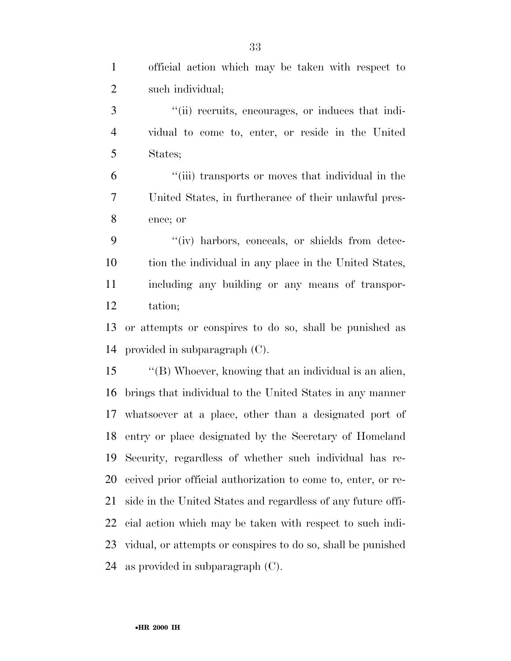| $\mathbf{1}$   | official action which may be taken with respect to            |
|----------------|---------------------------------------------------------------|
| $\overline{2}$ | such individual;                                              |
| 3              | "(ii) recruits, encourages, or induces that indi-             |
| $\overline{4}$ | vidual to come to, enter, or reside in the United             |
| 5              | States;                                                       |
| 6              | "(iii) transports or moves that individual in the             |
| 7              | United States, in furtherance of their unlawful pres-         |
| $8\,$          | ence; or                                                      |
| 9              | "(iv) harbors, conceals, or shields from detec-               |
| 10             | tion the individual in any place in the United States,        |
| 11             | including any building or any means of transpor-              |
| 12             | tation;                                                       |
| 13             | or attempts or conspires to do so, shall be punished as       |
| 14             | provided in subparagraph (C).                                 |
| 15             | "(B) Whoever, knowing that an individual is an alien,         |
| 16             | brings that individual to the United States in any manner     |
|                | 17 whatsoever at a place, other than a designated port of     |
|                | 18 entry or place designated by the Secretary of Homeland     |
| 19             | Security, regardless of whether such individual has re-       |
| 20             | ceived prior official authorization to come to, enter, or re- |
| 21             | side in the United States and regardless of any future offi-  |
| 22             | cial action which may be taken with respect to such indi-     |
| 23             | vidual, or attempts or conspires to do so, shall be punished  |
| 24             | as provided in subparagraph $(C)$ .                           |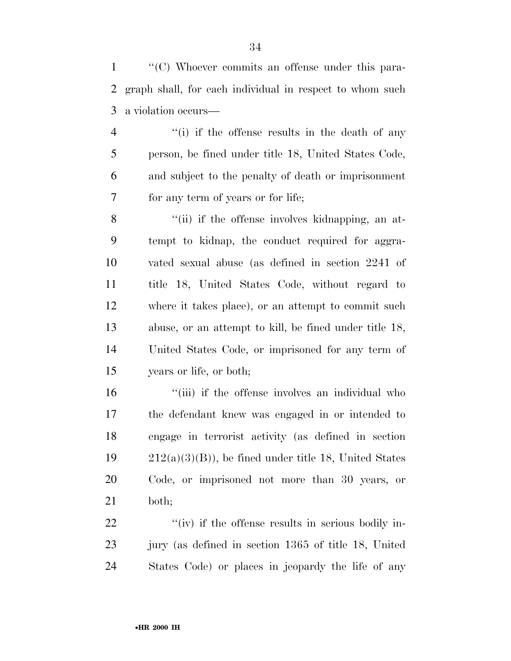''(C) Whoever commits an offense under this para- graph shall, for each individual in respect to whom such a violation occurs—

4 ''(i) if the offense results in the death of any person, be fined under title 18, United States Code, and subject to the penalty of death or imprisonment for any term of years or for life;

8 "(ii) if the offense involves kidnapping, an at- tempt to kidnap, the conduct required for aggra- vated sexual abuse (as defined in section 2241 of title 18, United States Code, without regard to where it takes place), or an attempt to commit such abuse, or an attempt to kill, be fined under title 18, United States Code, or imprisoned for any term of years or life, or both;

16 "(iii) if the offense involves an individual who the defendant knew was engaged in or intended to engage in terrorist activity (as defined in section  $212(a)(3)(B)$ , be fined under title 18, United States Code, or imprisoned not more than 30 years, or both;

22  $\frac{u'(iv)}{i}$  if the offense results in serious bodily in- jury (as defined in section 1365 of title 18, United States Code) or places in jeopardy the life of any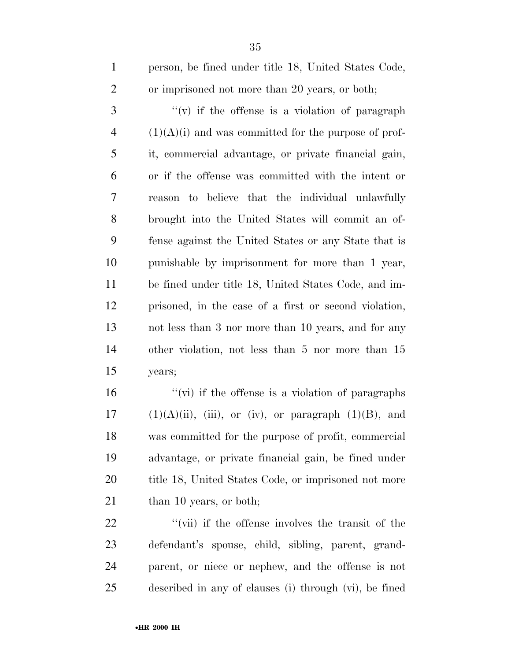| $\mathbf{1}$   | person, be fined under title 18, United States Code,   |
|----------------|--------------------------------------------------------|
| $\overline{2}$ | or imprisoned not more than 20 years, or both;         |
| 3              | $f'(v)$ if the offense is a violation of paragraph     |
| 4              | $(1)(A)(i)$ and was committed for the purpose of prof- |
| 5              | it, commercial advantage, or private financial gain,   |
| 6              | or if the offense was committed with the intent or     |
| $\overline{7}$ | reason to believe that the individual unlawfully       |
| 8              | brought into the United States will commit an of-      |
| 9              | fense against the United States or any State that is   |
| 10             | punishable by imprisonment for more than 1 year,       |
| 11             | be fined under title 18, United States Code, and im-   |
| 12             | prisoned, in the case of a first or second violation,  |
| 13             | not less than 3 nor more than 10 years, and for any    |
| 14             | other violation, not less than 5 nor more than 15      |
| 15             | years;                                                 |

 $\frac{1}{2}$   $\frac{1}{2}$   $\frac{1}{2}$  if the offense is a violation of paragraphs  $(1)(A)(ii)$ , (iii), or (iv), or paragraph  $(1)(B)$ , and was committed for the purpose of profit, commercial advantage, or private financial gain, be fined under 20 title 18, United States Code, or imprisoned not more 21 than 10 years, or both;

 $\frac{u'(v)}{v}$  if the offense involves the transit of the defendant's spouse, child, sibling, parent, grand- parent, or niece or nephew, and the offense is not described in any of clauses (i) through (vi), be fined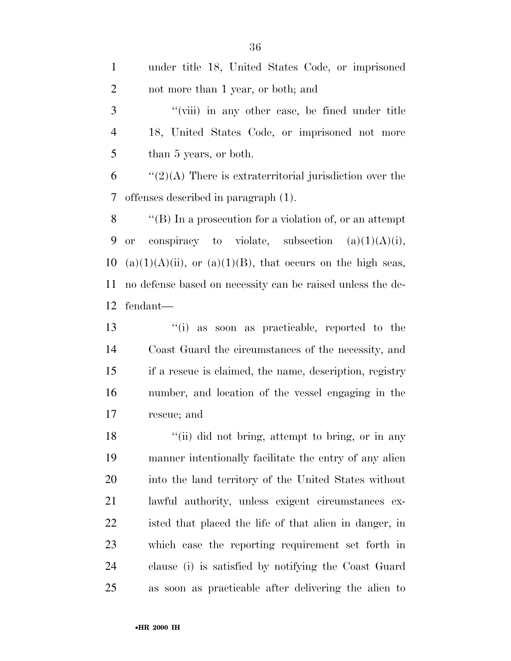| $\mathbf{1}$             | under title 18, United States Code, or imprisoned                |
|--------------------------|------------------------------------------------------------------|
| $\overline{2}$           | not more than 1 year, or both; and                               |
| 3                        | "(viii) in any other case, be fined under title                  |
| $\overline{4}$           | 18, United States Code, or imprisoned not more                   |
| 5                        | than 5 years, or both.                                           |
| 6                        | $\lq(2)(A)$ There is extraterritorial jurisdiction over the      |
| $\overline{\mathcal{L}}$ | offenses described in paragraph (1).                             |
| 8                        | "(B) In a prosecution for a violation of, or an attempt          |
| 9                        | or conspiracy to violate, subsection $(a)(1)(A)(i)$ ,            |
| 10                       | $(a)(1)(A)(ii)$ , or $(a)(1)(B)$ , that occurs on the high seas, |
| 11                       | no defense based on necessity can be raised unless the de-       |
| 12                       | fendant—                                                         |
| 13                       | "(i) as soon as practicable, reported to the                     |
| 14                       | Coast Guard the circumstances of the necessity, and              |
| 15                       | if a rescue is claimed, the name, description, registry          |

 if a rescue is claimed, the name, description, registry number, and location of the vessel engaging in the rescue; and

18 ''(ii) did not bring, attempt to bring, or in any manner intentionally facilitate the entry of any alien into the land territory of the United States without lawful authority, unless exigent circumstances ex- isted that placed the life of that alien in danger, in which case the reporting requirement set forth in clause (i) is satisfied by notifying the Coast Guard as soon as practicable after delivering the alien to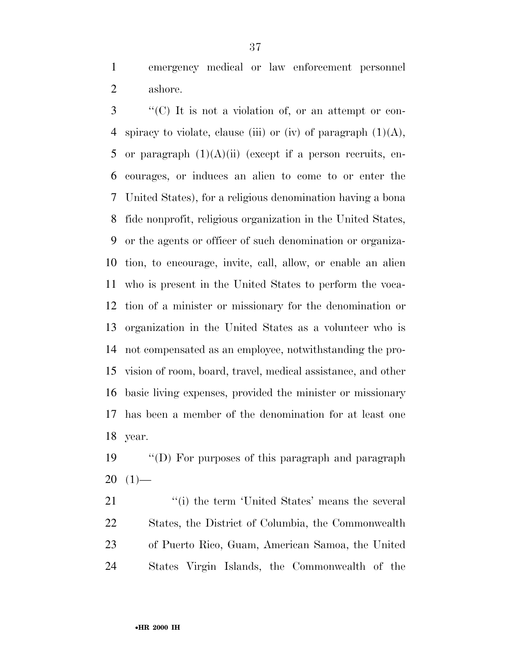emergency medical or law enforcement personnel ashore.

 ''(C) It is not a violation of, or an attempt or con-4 spiracy to violate, clause (iii) or (iv) of paragraph  $(1)(A)$ , 5 or paragraph  $(1)(A)(ii)$  (except if a person recruits, en- courages, or induces an alien to come to or enter the United States), for a religious denomination having a bona fide nonprofit, religious organization in the United States, or the agents or officer of such denomination or organiza- tion, to encourage, invite, call, allow, or enable an alien who is present in the United States to perform the voca- tion of a minister or missionary for the denomination or organization in the United States as a volunteer who is not compensated as an employee, notwithstanding the pro- vision of room, board, travel, medical assistance, and other basic living expenses, provided the minister or missionary has been a member of the denomination for at least one year.

 ''(D) For purposes of this paragraph and paragraph  $20(1)$ —

21 ''(i) the term 'United States' means the several States, the District of Columbia, the Commonwealth of Puerto Rico, Guam, American Samoa, the United States Virgin Islands, the Commonwealth of the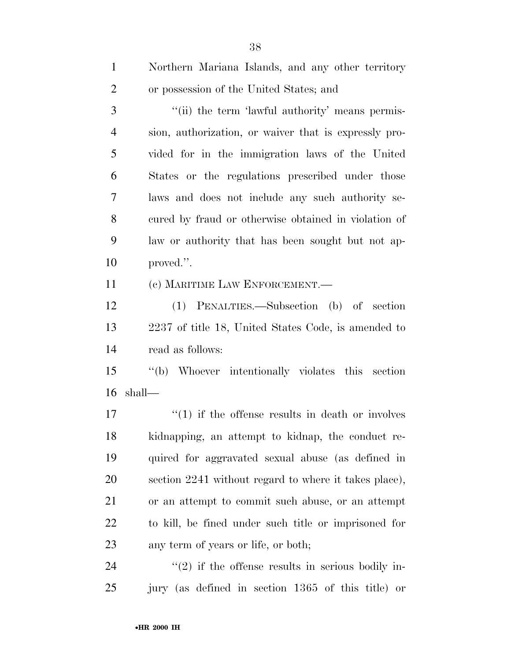| $\mathbf{1}$   | Northern Mariana Islands, and any other territory       |
|----------------|---------------------------------------------------------|
| $\overline{2}$ | or possession of the United States; and                 |
| 3              | "(ii) the term 'lawful authority' means permis-         |
| $\overline{4}$ | sion, authorization, or waiver that is expressly pro-   |
| 5              | vided for in the immigration laws of the United         |
| 6              | States or the regulations prescribed under those        |
| 7              | laws and does not include any such authority se-        |
| 8              | cured by fraud or otherwise obtained in violation of    |
| 9              | law or authority that has been sought but not ap-       |
| 10             | proved.".                                               |
| 11             | (c) MARITIME LAW ENFORCEMENT.—                          |
| 12             | (1) PENALTIES.—Subsection (b) of section                |
| 13             | 2237 of title 18, United States Code, is amended to     |
| 14             | read as follows:                                        |
| 15             | "(b) Whoever intentionally violates this section        |
| 16             | shall—                                                  |
| 17             | $\cdot$ (1) if the offense results in death or involves |
| 18             | kidnapping, an attempt to kidnap, the conduct re-       |
| 19             | quired for aggravated sexual abuse (as defined in       |
| 20             | section 2241 without regard to where it takes place),   |
| 21             | or an attempt to commit such abuse, or an attempt       |
| 22             | to kill, be fined under such title or imprisoned for    |
| 23             | any term of years or life, or both;                     |
| 24             | $\lq(2)$ if the offense results in serious bodily in-   |

jury (as defined in section 1365 of this title) or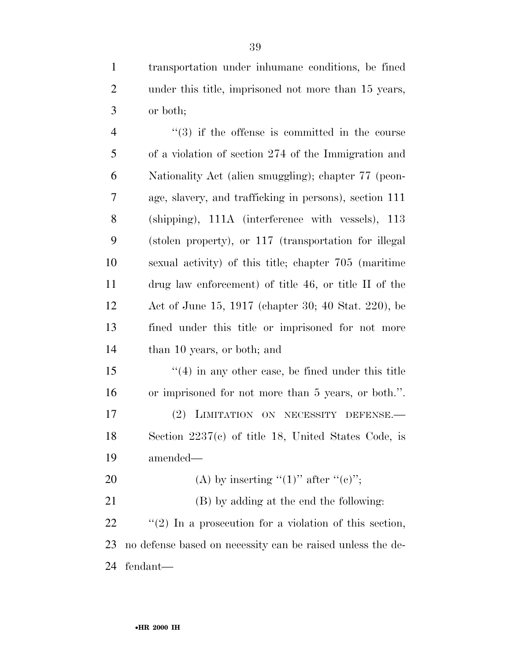transportation under inhumane conditions, be fined under this title, imprisoned not more than 15 years, or both;

4 ''(3) if the offense is committed in the course of a violation of section 274 of the Immigration and Nationality Act (alien smuggling); chapter 77 (peon- age, slavery, and trafficking in persons), section 111 (shipping), 111A (interference with vessels), 113 (stolen property), or 117 (transportation for illegal sexual activity) of this title; chapter 705 (maritime drug law enforcement) of title 46, or title II of the Act of June 15, 1917 (chapter 30; 40 Stat. 220), be fined under this title or imprisoned for not more than 10 years, or both; and

 ''(4) in any other case, be fined under this title or imprisoned for not more than 5 years, or both.''. 17 (2) LIMITATION ON NECESSITY DEFENSE. Section 2237(c) of title 18, United States Code, is amended—

20 (A) by inserting " $(1)$ " after " $(e)$ ";

 (B) by adding at the end the following: ''(2) In a prosecution for a violation of this section, no defense based on necessity can be raised unless the de-fendant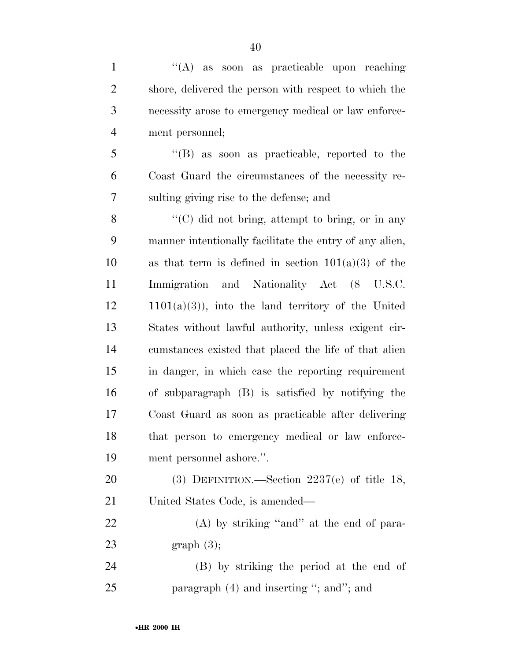1 ''(A) as soon as practicable upon reaching shore, delivered the person with respect to which the necessity arose to emergency medical or law enforce- ment personnel; ''(B) as soon as practicable, reported to the Coast Guard the circumstances of the necessity re- sulting giving rise to the defense; and 8 "(C) did not bring, attempt to bring, or in any

 manner intentionally facilitate the entry of any alien, 10 as that term is defined in section  $101(a)(3)$  of the Immigration and Nationality Act (8 U.S.C.  $12 \qquad 1101(a)(3)$ , into the land territory of the United States without lawful authority, unless exigent cir- cumstances existed that placed the life of that alien in danger, in which case the reporting requirement of subparagraph (B) is satisfied by notifying the Coast Guard as soon as practicable after delivering that person to emergency medical or law enforce-ment personnel ashore.''.

 (3) DEFINITION.—Section 2237(e) of title 18, United States Code, is amended—

22 (A) by striking "and" at the end of para-graph (3);

 (B) by striking the period at the end of 25 paragraph (4) and inserting "; and"; and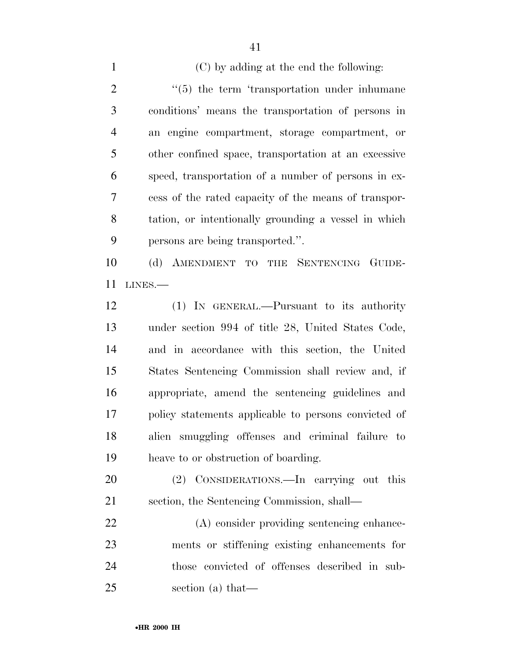(C) by adding at the end the following: ''(5) the term 'transportation under inhumane conditions' means the transportation of persons in an engine compartment, storage compartment, or other confined space, transportation at an excessive speed, transportation of a number of persons in ex- cess of the rated capacity of the means of transpor- tation, or intentionally grounding a vessel in which persons are being transported.''. (d) AMENDMENT TO THE SENTENCING GUIDE- LINES.— (1) IN GENERAL.—Pursuant to its authority under section 994 of title 28, United States Code,

 and in accordance with this section, the United States Sentencing Commission shall review and, if appropriate, amend the sentencing guidelines and policy statements applicable to persons convicted of alien smuggling offenses and criminal failure to heave to or obstruction of boarding.

 (2) CONSIDERATIONS.—In carrying out this section, the Sentencing Commission, shall—

 (A) consider providing sentencing enhance- ments or stiffening existing enhancements for those convicted of offenses described in sub-section (a) that—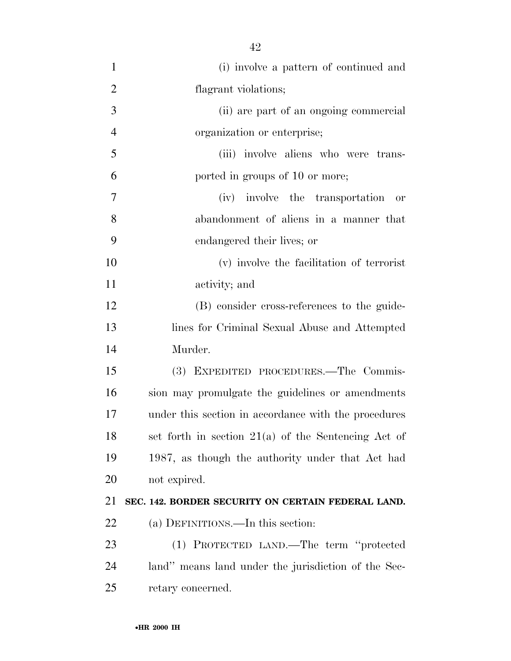| $\mathbf{1}$   | (i) involve a pattern of continued and                |  |
|----------------|-------------------------------------------------------|--|
| $\overline{2}$ | flagrant violations;                                  |  |
| 3              | (ii) are part of an ongoing commercial                |  |
| $\overline{4}$ | organization or enterprise;                           |  |
| 5              | (iii) involve aliens who were trans-                  |  |
| 6              | ported in groups of 10 or more;                       |  |
| $\overline{7}$ | (iv) involve the transportation<br>or                 |  |
| 8              | abandonment of aliens in a manner that                |  |
| 9              | endangered their lives; or                            |  |
| 10             | (v) involve the facilitation of terrorist             |  |
| 11             | activity; and                                         |  |
| 12             | (B) consider cross-references to the guide-           |  |
| 13             | lines for Criminal Sexual Abuse and Attempted         |  |
| 14             | Murder.                                               |  |
| 15             | (3) EXPEDITED PROCEDURES.—The Commis-                 |  |
| 16             | sion may promulgate the guidelines or amendments      |  |
| 17             | under this section in accordance with the procedures  |  |
| 18             | set forth in section $21(a)$ of the Sentencing Act of |  |
| 19             | 1987, as though the authority under that Act had      |  |
| 20             | not expired.                                          |  |
| 21             | SEC. 142. BORDER SECURITY ON CERTAIN FEDERAL LAND.    |  |
| 22             | (a) DEFINITIONS.—In this section:                     |  |
| 23             | (1) PROTECTED LAND.—The term "protected               |  |
| 24             | land" means land under the jurisdiction of the Sec-   |  |
| 25             | retary concerned.                                     |  |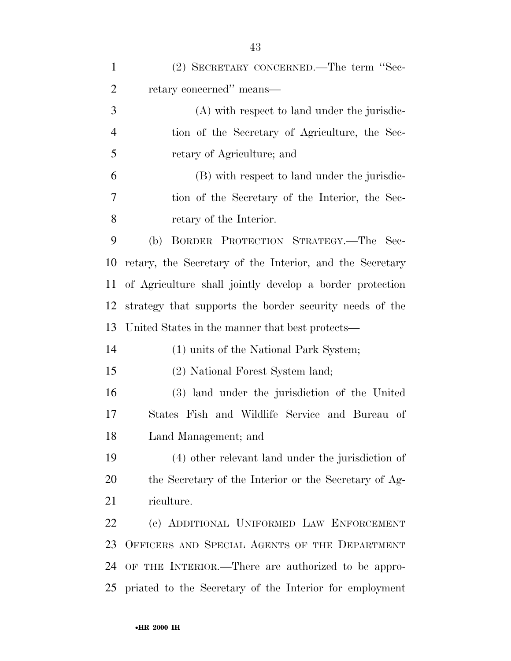| (2) SECRETARY CONCERNED.—The term "Sec-<br>retary concerned" means—<br>(A) with respect to land under the jurisdic-<br>tion of the Secretary of Agriculture, the Sec-<br>retary of Agriculture; and<br>(B) with respect to land under the jurisdic- |
|-----------------------------------------------------------------------------------------------------------------------------------------------------------------------------------------------------------------------------------------------------|
|                                                                                                                                                                                                                                                     |
|                                                                                                                                                                                                                                                     |
|                                                                                                                                                                                                                                                     |
|                                                                                                                                                                                                                                                     |
|                                                                                                                                                                                                                                                     |
|                                                                                                                                                                                                                                                     |
| tion of the Secretary of the Interior, the Sec-                                                                                                                                                                                                     |
| retary of the Interior.                                                                                                                                                                                                                             |
| BORDER PROTECTION STRATEGY.-The Sec-<br>(b)                                                                                                                                                                                                         |
| retary, the Secretary of the Interior, and the Secretary                                                                                                                                                                                            |
| of Agriculture shall jointly develop a border protection                                                                                                                                                                                            |
| strategy that supports the border security needs of the                                                                                                                                                                                             |
| United States in the manner that best protects—                                                                                                                                                                                                     |
| (1) units of the National Park System;                                                                                                                                                                                                              |
| (2) National Forest System land;                                                                                                                                                                                                                    |
| (3) land under the jurisdiction of the United                                                                                                                                                                                                       |
| States Fish and Wildlife Service and Bureau of                                                                                                                                                                                                      |
| Land Management; and                                                                                                                                                                                                                                |
| (4) other relevant land under the jurisdiction of                                                                                                                                                                                                   |
| the Secretary of the Interior or the Secretary of Ag-                                                                                                                                                                                               |
| riculture.                                                                                                                                                                                                                                          |
| (c) ADDITIONAL UNIFORMED LAW ENFORCEMENT                                                                                                                                                                                                            |
| OFFICERS AND SPECIAL AGENTS OF THE DEPARTMENT                                                                                                                                                                                                       |
| OF THE INTERIOR.—There are authorized to be appro-                                                                                                                                                                                                  |
| priated to the Secretary of the Interior for employment                                                                                                                                                                                             |
|                                                                                                                                                                                                                                                     |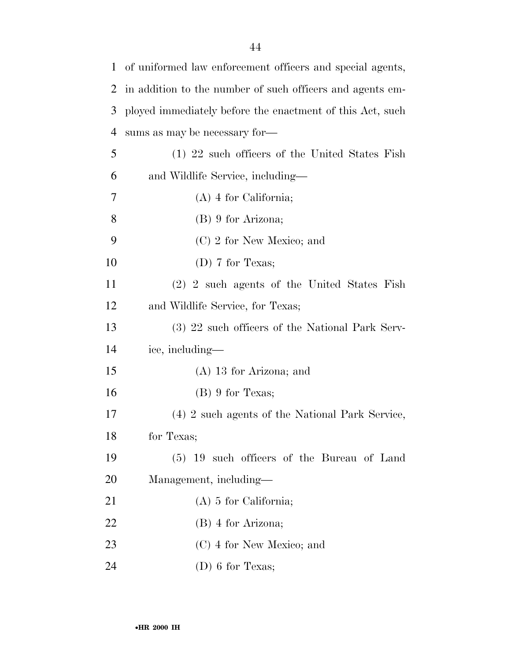| $\mathbf 1$ | of uniformed law enforcement officers and special agents, |  |
|-------------|-----------------------------------------------------------|--|
| 2           | in addition to the number of such officers and agents em- |  |
| 3           | ployed immediately before the enactment of this Act, such |  |
| 4           | sums as may be necessary for-                             |  |
| 5           | (1) 22 such officers of the United States Fish            |  |
| 6           | and Wildlife Service, including—                          |  |
| 7           | $(A)$ 4 for California;                                   |  |
| 8           | $(B)$ 9 for Arizona;                                      |  |
| 9           | $(C)$ 2 for New Mexico; and                               |  |
| 10          | (D) 7 for Texas;                                          |  |
| 11          | (2) 2 such agents of the United States Fish               |  |
| 12          | and Wildlife Service, for Texas;                          |  |
| 13          | (3) 22 such officers of the National Park Serv-           |  |
| 14          | ice, including—                                           |  |
| 15          | $(A)$ 13 for Arizona; and                                 |  |
| 16          | $(B)$ 9 for Texas;                                        |  |
| 17          | (4) 2 such agents of the National Park Service,           |  |
| 18          | for Texas;                                                |  |
| 19          | (5) 19 such officers of the Bureau of Land                |  |
| 20          | Management, including—                                    |  |
| 21          | $(A)$ 5 for California;                                   |  |
| 22          | $(B)$ 4 for Arizona;                                      |  |
| 23          | $(C)$ 4 for New Mexico; and                               |  |
| 24          | $(D)$ 6 for Texas;                                        |  |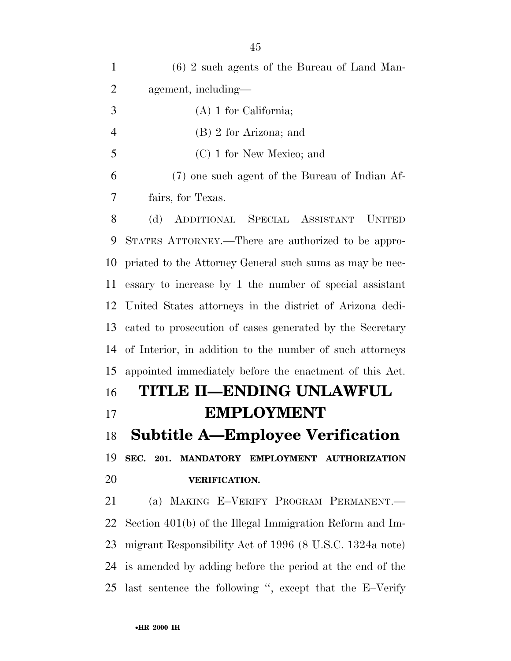(6) 2 such agents of the Bureau of Land Man- agement, including— (A) 1 for California; (B) 2 for Arizona; and (C) 1 for New Mexico; and (7) one such agent of the Bureau of Indian Af- fairs, for Texas. (d) ADDITIONAL SPECIAL ASSISTANT UNITED STATES ATTORNEY.—There are authorized to be appro- priated to the Attorney General such sums as may be nec- essary to increase by 1 the number of special assistant United States attorneys in the district of Arizona dedi- cated to prosecution of cases generated by the Secretary of Interior, in addition to the number of such attorneys appointed immediately before the enactment of this Act. **TITLE II—ENDING UNLAWFUL EMPLOYMENT Subtitle A—Employee Verification SEC. 201. MANDATORY EMPLOYMENT AUTHORIZATION VERIFICATION.**  (a) MAKING E–VERIFY PROGRAM PERMANENT.— Section 401(b) of the Illegal Immigration Reform and Im- migrant Responsibility Act of 1996 (8 U.S.C. 1324a note) is amended by adding before the period at the end of the last sentence the following '', except that the E–Verify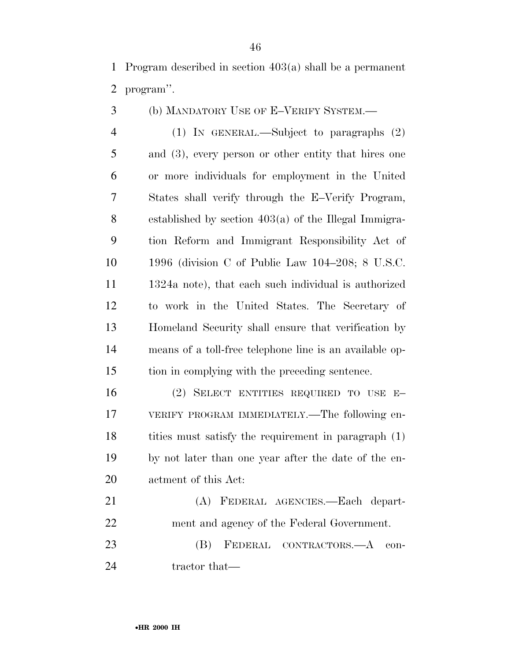Program described in section 403(a) shall be a permanent program''.

(b) MANDATORY USE OF E–VERIFY SYSTEM.—

 (1) IN GENERAL.—Subject to paragraphs (2) and (3), every person or other entity that hires one or more individuals for employment in the United States shall verify through the E–Verify Program, established by section 403(a) of the Illegal Immigra- tion Reform and Immigrant Responsibility Act of 1996 (division C of Public Law 104–208; 8 U.S.C. 1324a note), that each such individual is authorized to work in the United States. The Secretary of Homeland Security shall ensure that verification by means of a toll-free telephone line is an available op-tion in complying with the preceding sentence.

 (2) SELECT ENTITIES REQUIRED TO USE E– VERIFY PROGRAM IMMEDIATELY.—The following en- tities must satisfy the requirement in paragraph (1) by not later than one year after the date of the en-actment of this Act:

 (A) FEDERAL AGENCIES.—Each depart- ment and agency of the Federal Government. (B) FEDERAL CONTRACTORS.—A con-

24 tractor that—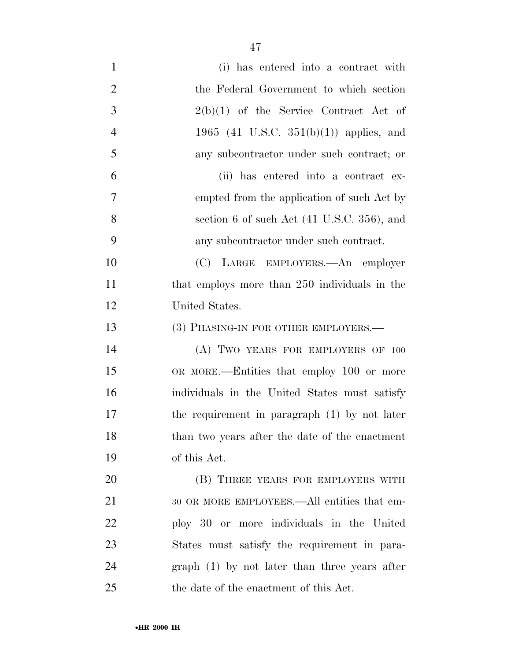| $\mathbf{1}$   | (i) has entered into a contract with           |
|----------------|------------------------------------------------|
| $\overline{2}$ | the Federal Government to which section        |
| 3              | $2(b)(1)$ of the Service Contract Act of       |
| $\overline{4}$ | 1965 (41 U.S.C. $351(b)(1)$ ) applies, and     |
| 5              | any subcontractor under such contract; or      |
| 6              | (ii) has entered into a contract ex-           |
| $\overline{7}$ | empted from the application of such Act by     |
| 8              | section 6 of such Act (41 U.S.C. 356), and     |
| 9              | any subcontractor under such contract.         |
| 10             | (C) LARGE EMPLOYERS.—An employer               |
| 11             | that employs more than 250 individuals in the  |
| 12             | United States.                                 |
| 13             | (3) PHASING-IN FOR OTHER EMPLOYERS.—           |
| 14             | (A) TWO YEARS FOR EMPLOYERS OF 100             |
| 15             | OR MORE.—Entities that employ 100 or more      |
| 16             | individuals in the United States must satisfy  |
| 17             | the requirement in paragraph (1) by not later  |
| 18             | than two years after the date of the enactment |
| 19             | of this Act.                                   |
| 20             | (B) THREE YEARS FOR EMPLOYERS WITH             |
| 21             | 30 OR MORE EMPLOYEES.—All entities that em-    |
| 22             | ploy 30 or more individuals in the United      |
| 23             | States must satisfy the requirement in para-   |
| 24             | $graph(1)$ by not later than three years after |
| 25             | the date of the enactment of this Act.         |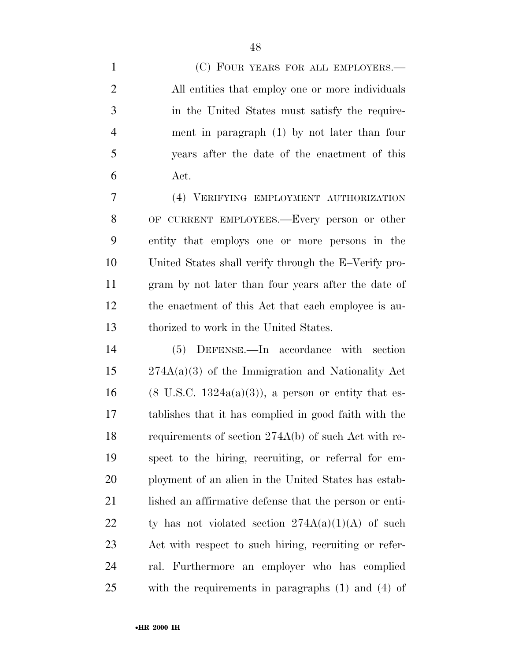1 (C) FOUR YEARS FOR ALL EMPLOYERS.— All entities that employ one or more individuals in the United States must satisfy the require- ment in paragraph (1) by not later than four years after the date of the enactment of this Act.

 (4) VERIFYING EMPLOYMENT AUTHORIZATION OF CURRENT EMPLOYEES.—Every person or other entity that employs one or more persons in the United States shall verify through the E–Verify pro- gram by not later than four years after the date of the enactment of this Act that each employee is au-thorized to work in the United States.

 (5) DEFENSE.—In accordance with section 274A(a)(3) of the Immigration and Nationality Act 16 (8 U.S.C. 1324a(a)(3)), a person or entity that es- tablishes that it has complied in good faith with the requirements of section 274A(b) of such Act with re- spect to the hiring, recruiting, or referral for em- ployment of an alien in the United States has estab-21 lished an affirmative defense that the person or enti-22 ty has not violated section  $274A(a)(1)(A)$  of such Act with respect to such hiring, recruiting or refer- ral. Furthermore an employer who has complied with the requirements in paragraphs (1) and (4) of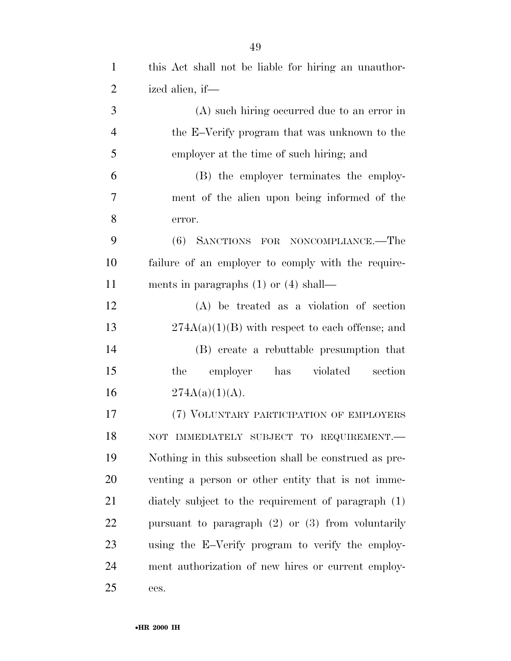| $\mathbf{1}$   | this Act shall not be liable for hiring an unauthor-  |
|----------------|-------------------------------------------------------|
| $\overline{2}$ | ized alien, if—                                       |
| 3              | (A) such hiring occurred due to an error in           |
| $\overline{4}$ | the E-Verify program that was unknown to the          |
| 5              | employer at the time of such hiring; and              |
| 6              | (B) the employer terminates the employ-               |
| 7              | ment of the alien upon being informed of the          |
| 8              | error.                                                |
| 9              | (6) SANCTIONS FOR NONCOMPLIANCE.—The                  |
| 10             | failure of an employer to comply with the require-    |
| 11             | ments in paragraphs $(1)$ or $(4)$ shall—             |
| 12             | $(A)$ be treated as a violation of section            |
| 13             | $274A(a)(1)(B)$ with respect to each offense; and     |
| 14             | (B) create a rebuttable presumption that              |
| 15             | employer<br>has violated<br>section<br>the            |
| 16             | $274A(a)(1)(A)$ .                                     |
| 17             | (7) VOLUNTARY PARTICIPATION OF EMPLOYERS              |
| 18             | IMMEDIATELY SUBJECT TO REQUIREMENT.-<br>NOT           |
| 19             | Nothing in this subsection shall be construed as pre- |
| 20             | venting a person or other entity that is not imme-    |
| 21             | diately subject to the requirement of paragraph (1)   |
| 22             | pursuant to paragraph $(2)$ or $(3)$ from voluntarily |
| 23             | using the E-Verify program to verify the employ-      |
| 24             | ment authorization of new hires or current employ-    |
| 25             | ees.                                                  |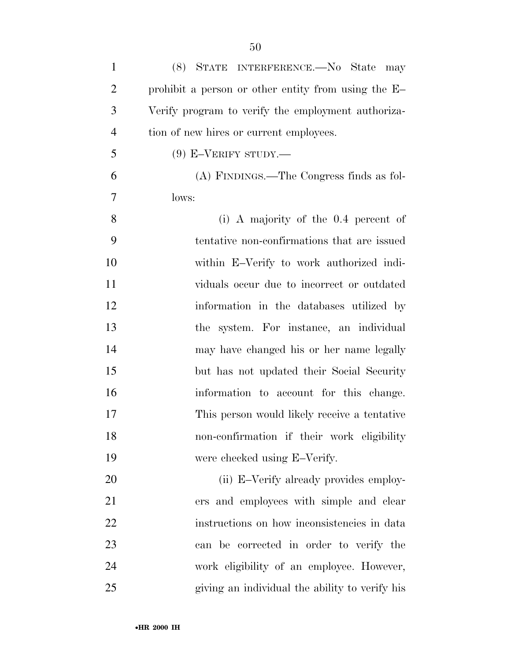| $\mathbf{1}$   | (8) STATE INTERFERENCE.—No State may                |
|----------------|-----------------------------------------------------|
| $\overline{2}$ | prohibit a person or other entity from using the E- |
| 3              | Verify program to verify the employment authoriza-  |
| $\overline{4}$ | tion of new hires or current employees.             |
| 5              | $(9)$ E-VERIFY STUDY.—                              |
| 6              | (A) FINDINGS.—The Congress finds as fol-            |
| 7              | lows:                                               |
| 8              | (i) A majority of the $0.4$ percent of              |
| 9              | tentative non-confirmations that are issued         |
| 10             | within E-Verify to work authorized indi-            |
| 11             | viduals occur due to incorrect or outdated          |
| 12             | information in the databases utilized by            |
| 13             | the system. For instance, an individual             |
| 14             | may have changed his or her name legally            |
| 15             | but has not updated their Social Security           |
| 16             | information to account for this change.             |
| 17             | This person would likely receive a tentative        |
| 18             | non-confirmation if their work eligibility          |
| 19             | were checked using E-Verify.                        |
| 20             | (ii) E-Verify already provides employ-              |
| 21             | ers and employees with simple and clear             |
| 22             | instructions on how inconsistencies in data         |
| 23             | can be corrected in order to verify the             |
| 24             | work eligibility of an employee. However,           |
| 25             | giving an individual the ability to verify his      |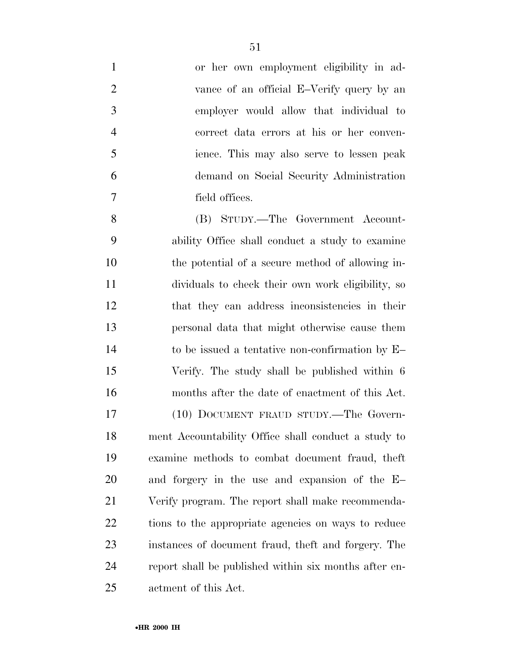| $\mathbf{1}$   | or her own employment eligibility in ad-              |
|----------------|-------------------------------------------------------|
| $\overline{2}$ | vance of an official E-Verify query by an             |
| 3              | employer would allow that individual to               |
| 4              | correct data errors at his or her conven-             |
| 5              | ience. This may also serve to lessen peak             |
| 6              | demand on Social Security Administration              |
| $\overline{7}$ | field offices.                                        |
| 8              | (B) STUDY.—The Government Account-                    |
| 9              | ability Office shall conduct a study to examine       |
| 10             | the potential of a secure method of allowing in-      |
| 11             | dividuals to check their own work eligibility, so     |
| 12             | that they can address inconsistencies in their        |
| 13             | personal data that might otherwise cause them         |
| 14             | to be issued a tentative non-confirmation by $E-$     |
| 15             | Verify. The study shall be published within 6         |
| 16             | months after the date of enactment of this Act.       |
| 17             | (10) DOCUMENT FRAUD STUDY.—The Govern-                |
| 18             | ment Accountability Office shall conduct a study to   |
| 19             | examine methods to combat document fraud, theft       |
| 20             | and forgery in the use and expansion of the E-        |
| 21             | Verify program. The report shall make recommenda-     |
| 22             | tions to the appropriate agencies on ways to reduce   |
| 23             | instances of document fraud, theft and forgery. The   |
| 24             | report shall be published within six months after en- |
| 25             | actment of this Act.                                  |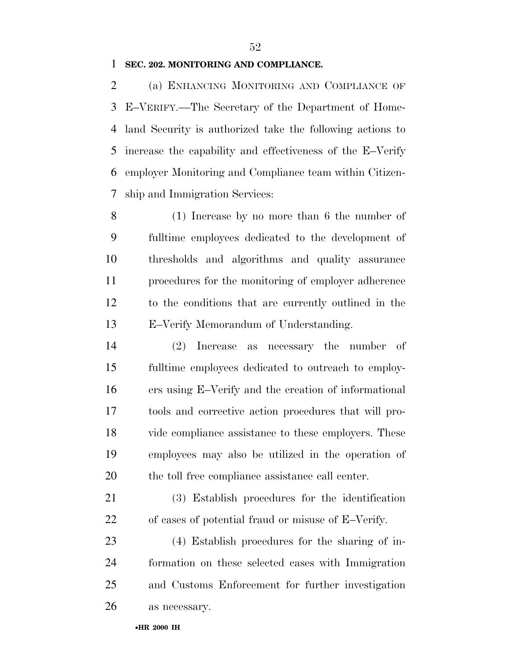#### **SEC. 202. MONITORING AND COMPLIANCE.**

 (a) ENHANCING MONITORING AND COMPLIANCE OF E–VERIFY.—The Secretary of the Department of Home- land Security is authorized take the following actions to increase the capability and effectiveness of the E–Verify employer Monitoring and Compliance team within Citizen-ship and Immigration Services:

 (1) Increase by no more than 6 the number of fulltime employees dedicated to the development of thresholds and algorithms and quality assurance procedures for the monitoring of employer adherence to the conditions that are currently outlined in the E–Verify Memorandum of Understanding.

 (2) Increase as necessary the number of fulltime employees dedicated to outreach to employ- ers using E–Verify and the creation of informational tools and corrective action procedures that will pro- vide compliance assistance to these employers. These employees may also be utilized in the operation of the toll free compliance assistance call center.

 (3) Establish procedures for the identification of cases of potential fraud or misuse of E–Verify.

 (4) Establish procedures for the sharing of in- formation on these selected cases with Immigration and Customs Enforcement for further investigation as necessary.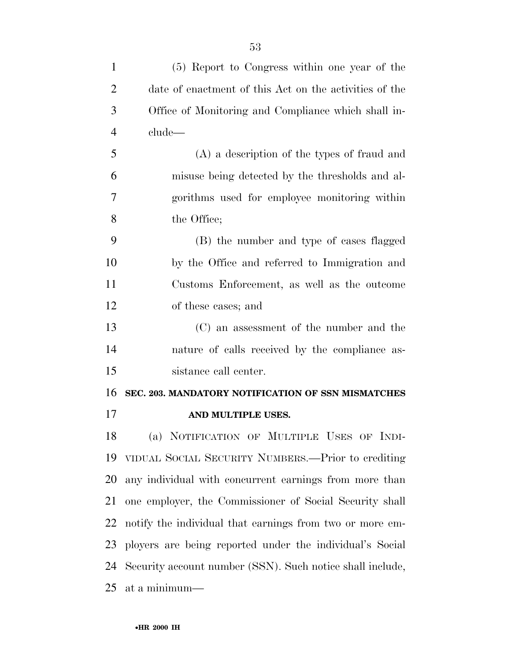| $\mathbf{1}$   | (5) Report to Congress within one year of the             |
|----------------|-----------------------------------------------------------|
| $\overline{2}$ | date of enactment of this Act on the activities of the    |
| 3              | Office of Monitoring and Compliance which shall in-       |
| $\overline{4}$ | clude—                                                    |
| 5              | (A) a description of the types of fraud and               |
| 6              | misuse being detected by the thresholds and al-           |
| 7              | gorithms used for employee monitoring within              |
| 8              | the Office;                                               |
| 9              | (B) the number and type of cases flagged                  |
| 10             | by the Office and referred to Immigration and             |
| 11             | Customs Enforcement, as well as the outcome               |
| 12             | of these cases; and                                       |
| 13             | (C) an assessment of the number and the                   |
| 14             | nature of calls received by the compliance as-            |
| 15             | sistance call center.                                     |
| 16             | SEC. 203. MANDATORY NOTIFICATION OF SSN MISMATCHES        |
| 17             | AND MULTIPLE USES.                                        |
| 18             | (a) NOTIFICATION OF MULTIPLE USES OF INDI-                |
| 19             | VIDUAL SOCIAL SECURITY NUMBERS.—Prior to crediting        |
| 20             | any individual with concurrent earnings from more than    |
| 21             | one employer, the Commissioner of Social Security shall   |
| 22             | notify the individual that earnings from two or more em-  |
| 23             | ployers are being reported under the individual's Social  |
| 24             | Security account number (SSN). Such notice shall include, |
| 25             | at a minimum—                                             |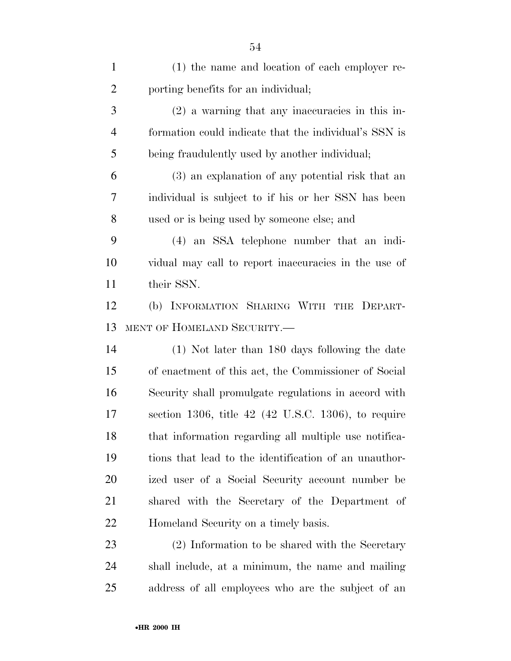| $\mathbf{1}$   | (1) the name and location of each employer re-           |
|----------------|----------------------------------------------------------|
| $\overline{2}$ | porting benefits for an individual;                      |
| 3              | $(2)$ a warning that any inaccuracies in this in-        |
| $\overline{4}$ | formation could indicate that the individual's SSN is    |
| 5              | being fraudulently used by another individual;           |
| 6              | (3) an explanation of any potential risk that an         |
| 7              | individual is subject to if his or her SSN has been      |
| 8              | used or is being used by someone else; and               |
| 9              | (4) an SSA telephone number that an indi-                |
| 10             | vidual may call to report inaccuracies in the use of     |
| 11             | their SSN.                                               |
| 12             | (b) INFORMATION SHARING WITH THE DEPART-                 |
| 13             | MENT OF HOMELAND SECURITY.-                              |
| 14             | (1) Not later than 180 days following the date           |
| 15             | of enactment of this act, the Commissioner of Social     |
| 16             | Security shall promulgate regulations in accord with     |
| 17             | section 1306, title $42$ ( $42$ U.S.C. 1306), to require |
| 18             | that information regarding all multiple use notifica-    |
| 19             | tions that lead to the identification of an unauthor-    |
| 20             | ized user of a Social Security account number be         |
| 21             | shared with the Secretary of the Department of           |
| 22             | Homeland Security on a timely basis.                     |
| 23             | (2) Information to be shared with the Secretary          |
| 24             | shall include, at a minimum, the name and mailing        |
| 25             | address of all employees who are the subject of an       |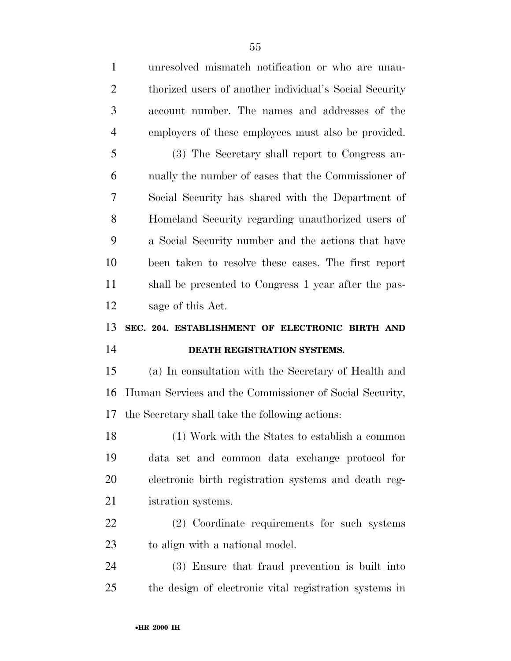| $\mathbf{1}$   | unresolved mismatch notification or who are unau-       |  |
|----------------|---------------------------------------------------------|--|
| $\overline{2}$ | thorized users of another individual's Social Security  |  |
| 3              | account number. The names and addresses of the          |  |
| $\overline{4}$ | employers of these employees must also be provided.     |  |
| 5              | (3) The Secretary shall report to Congress an-          |  |
| 6              | nually the number of cases that the Commissioner of     |  |
| 7              | Social Security has shared with the Department of       |  |
| 8              | Homeland Security regarding unauthorized users of       |  |
| 9              | a Social Security number and the actions that have      |  |
| 10             | been taken to resolve these cases. The first report     |  |
| 11             | shall be presented to Congress 1 year after the pas-    |  |
| 12             | sage of this Act.                                       |  |
|                |                                                         |  |
| 13             | SEC. 204. ESTABLISHMENT OF ELECTRONIC BIRTH AND         |  |
| 14             | DEATH REGISTRATION SYSTEMS.                             |  |
| 15             | (a) In consultation with the Secretary of Health and    |  |
| 16             | Human Services and the Commissioner of Social Security, |  |
| 17             | the Secretary shall take the following actions:         |  |
| 18             | (1) Work with the States to establish a common          |  |
| 19             | data set and common data exchange protocol for          |  |
| 20             | electronic birth registration systems and death reg-    |  |
| 21             | istration systems.                                      |  |
| 22             | (2) Coordinate requirements for such systems            |  |
| 23             | to align with a national model.                         |  |
| 24             | (3) Ensure that fraud prevention is built into          |  |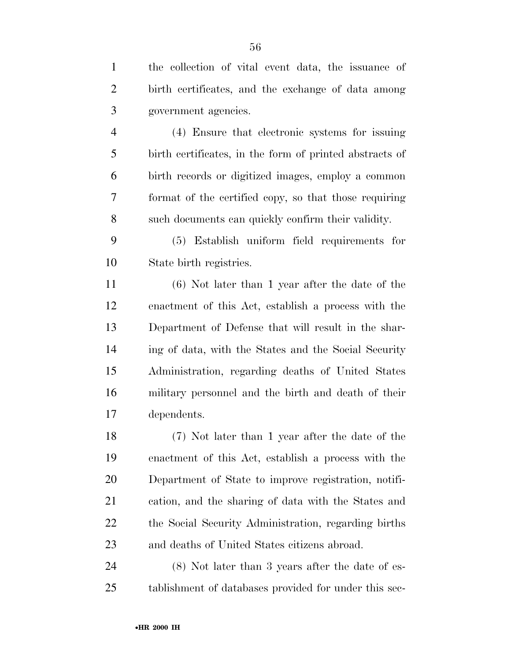birth certificates, and the exchange of data among government agencies.

 (4) Ensure that electronic systems for issuing birth certificates, in the form of printed abstracts of birth records or digitized images, employ a common format of the certified copy, so that those requiring such documents can quickly confirm their validity.

 (5) Establish uniform field requirements for State birth registries.

 (6) Not later than 1 year after the date of the enactment of this Act, establish a process with the Department of Defense that will result in the shar- ing of data, with the States and the Social Security Administration, regarding deaths of United States military personnel and the birth and death of their dependents.

 (7) Not later than 1 year after the date of the enactment of this Act, establish a process with the Department of State to improve registration, notifi- cation, and the sharing of data with the States and the Social Security Administration, regarding births and deaths of United States citizens abroad.

 (8) Not later than 3 years after the date of es-tablishment of databases provided for under this sec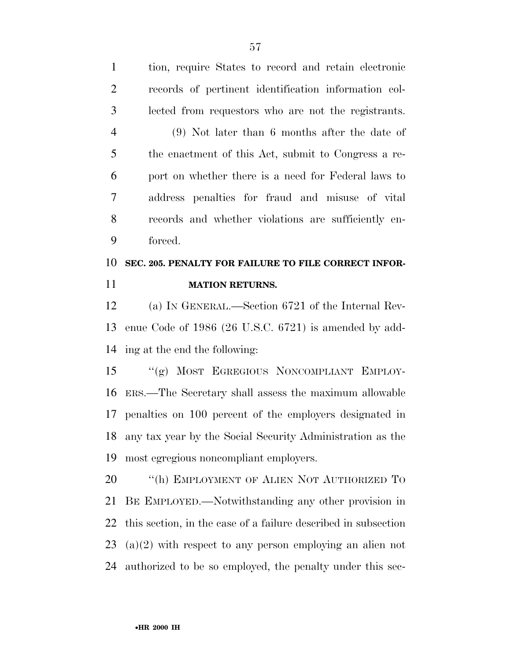tion, require States to record and retain electronic records of pertinent identification information col- lected from requestors who are not the registrants. (9) Not later than 6 months after the date of the enactment of this Act, submit to Congress a re- port on whether there is a need for Federal laws to address penalties for fraud and misuse of vital records and whether violations are sufficiently en-forced.

# **SEC. 205. PENALTY FOR FAILURE TO FILE CORRECT INFOR-MATION RETURNS.**

 (a) IN GENERAL.—Section 6721 of the Internal Rev- enue Code of 1986 (26 U.S.C. 6721) is amended by add-ing at the end the following:

 ''(g) MOST EGREGIOUS NONCOMPLIANT EMPLOY- ERS.—The Secretary shall assess the maximum allowable penalties on 100 percent of the employers designated in any tax year by the Social Security Administration as the most egregious noncompliant employers.

20 "(h) EMPLOYMENT OF ALIEN NOT AUTHORIZED TO BE EMPLOYED.—Notwithstanding any other provision in this section, in the case of a failure described in subsection (a)(2) with respect to any person employing an alien not authorized to be so employed, the penalty under this sec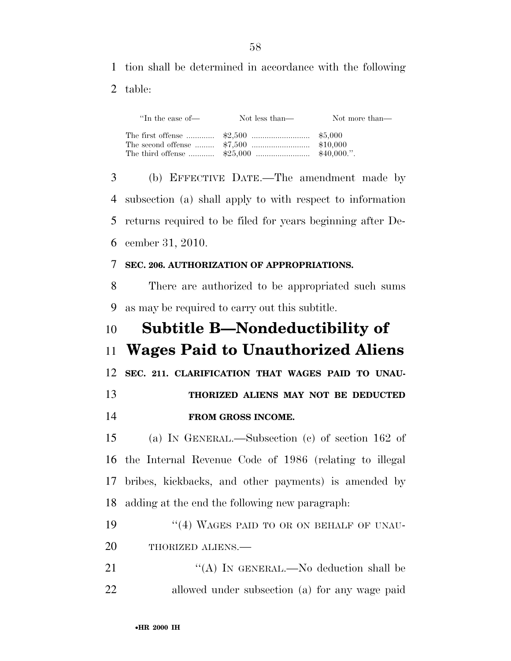tion shall be determined in accordance with the following

table:

| "In the case of— | Not less than— | Not more than— |
|------------------|----------------|----------------|
|                  |                |                |

 (b) EFFECTIVE DATE.—The amendment made by subsection (a) shall apply to with respect to information returns required to be filed for years beginning after De-cember 31, 2010.

#### **SEC. 206. AUTHORIZATION OF APPROPRIATIONS.**

 There are authorized to be appropriated such sums as may be required to carry out this subtitle.

# **Subtitle B—Nondeductibility of Wages Paid to Unauthorized Aliens**

**SEC. 211. CLARIFICATION THAT WAGES PAID TO UNAU-**

# **THORIZED ALIENS MAY NOT BE DEDUCTED FROM GROSS INCOME.**

 (a) IN GENERAL.—Subsection (c) of section 162 of the Internal Revenue Code of 1986 (relating to illegal bribes, kickbacks, and other payments) is amended by adding at the end the following new paragraph:

- 19 "(4) WAGES PAID TO OR ON BEHALF OF UNAU-20 THORIZED ALIENS.
- 21 "(A) IN GENERAL.—No deduction shall be allowed under subsection (a) for any wage paid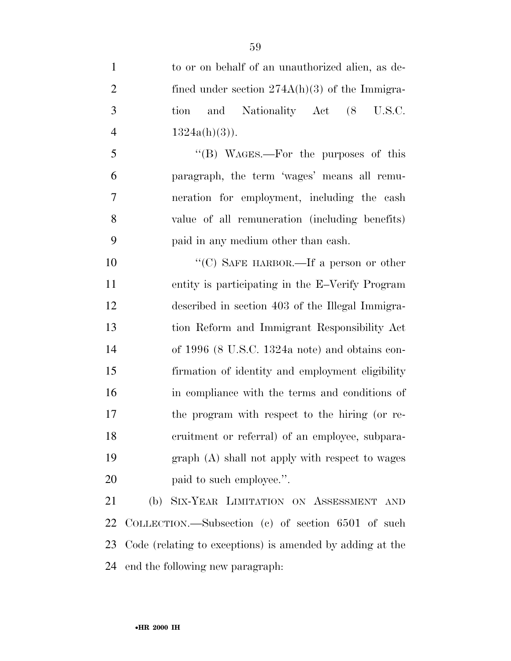| $\mathbf{1}$   | to or on behalf of an unauthorized alien, as de-          |
|----------------|-----------------------------------------------------------|
| $\overline{2}$ | fined under section $274A(h)(3)$ of the Immigra-          |
| 3              | and Nationality Act (8<br>U.S.C.<br>tion                  |
| $\overline{4}$ | $1324a(h)(3)$ ).                                          |
| 5              | "(B) WAGES.—For the purposes of this                      |
| 6              | paragraph, the term 'wages' means all remu-               |
| 7              | neration for employment, including the cash               |
| 8              | value of all remuneration (including benefits)            |
| 9              | paid in any medium other than eash.                       |
| 10             | "(C) SAFE HARBOR.—If a person or other                    |
| 11             | entity is participating in the E-Verify Program           |
| 12             | described in section 403 of the Illegal Immigra-          |
| 13             | tion Reform and Immigrant Responsibility Act              |
| 14             | of $1996$ (8 U.S.C. 1324a note) and obtains con-          |
| 15             | firmation of identity and employment eligibility          |
| 16             | in compliance with the terms and conditions of            |
| 17             | the program with respect to the hiring (or re-            |
| 18             | cruitment or referral) of an employee, subpara-           |
| 19             | graph (A) shall not apply with respect to wages           |
| 20             | paid to such employee.".                                  |
| 21             | (b) SIX-YEAR LIMITATION ON ASSESSMENT AND                 |
| 22             | COLLECTION.—Subsection (c) of section $6501$ of such      |
| 23             | Code (relating to exceptions) is amended by adding at the |

end the following new paragraph: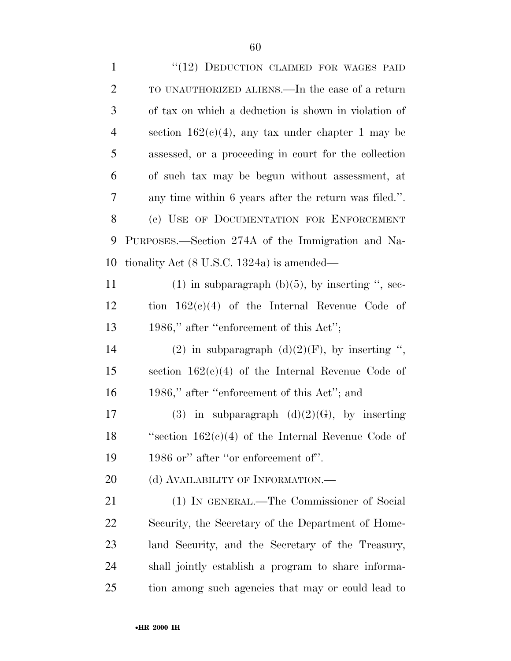| $\mathbf{1}$   | "(12) DEDUCTION CLAIMED FOR WAGES PAID                                |
|----------------|-----------------------------------------------------------------------|
| $\overline{2}$ | TO UNAUTHORIZED ALIENS.—In the case of a return                       |
| 3              | of tax on which a deduction is shown in violation of                  |
| $\overline{4}$ | section $162(c)(4)$ , any tax under chapter 1 may be                  |
| 5              | assessed, or a proceeding in court for the collection                 |
| 6              | of such tax may be begun without assessment, at                       |
| 7              | any time within 6 years after the return was filed.".                 |
| 8              | (c) USE OF DOCUMENTATION FOR ENFORCEMENT                              |
| 9              | PURPOSES.—Section 274A of the Immigration and Na-                     |
| 10             | tionality Act $(8 \text{ U.S.C. } 1324a)$ is amended—                 |
| 11             | $(1)$ in subparagraph $(b)(5)$ , by inserting ", sec-                 |
| 12             | tion $162(e)(4)$ of the Internal Revenue Code of                      |
| 13             | 1986," after "enforcement of this Act";                               |
| 14             | (2) in subparagraph $(d)(2)(F)$ , by inserting ",                     |
| 15             | section $162(c)(4)$ of the Internal Revenue Code of                   |
| 16             | 1986," after "enforcement of this Act"; and                           |
| 17             | subparagraph $(d)(2)(G)$ , by inserting<br>(3)<br>$\operatorname{in}$ |
| 18             | "section $162(e)(4)$ of the Internal Revenue Code of                  |
| 19             | 1986 or" after "or enforcement of".                                   |
| 20             | (d) AVAILABILITY OF INFORMATION.—                                     |
| 21             | (1) IN GENERAL.—The Commissioner of Social                            |
| 22             | Security, the Secretary of the Department of Home-                    |
| 23             | land Security, and the Secretary of the Treasury,                     |
| 24             | shall jointly establish a program to share informa-                   |
| 25             | tion among such agencies that may or could lead to                    |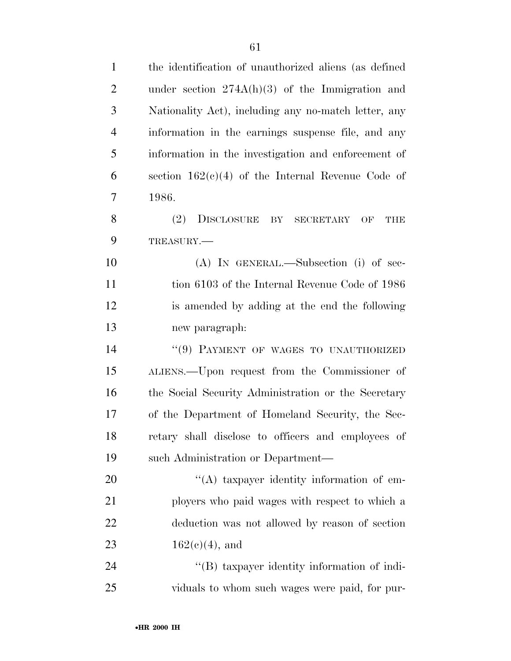| $\mathbf{1}$   | the identification of unauthorized aliens (as defined    |
|----------------|----------------------------------------------------------|
| $\overline{2}$ | under section $274A(h)(3)$ of the Immigration and        |
| 3              | Nationality Act), including any no-match letter, any     |
| 4              | information in the earnings suspense file, and any       |
| 5              | information in the investigation and enforcement of      |
| 6              | section $162(c)(4)$ of the Internal Revenue Code of      |
| 7              | 1986.                                                    |
| 8              | (2)<br>DISCLOSURE<br>BY<br><b>SECRETARY</b><br>OF<br>THE |
| 9              | TREASURY.                                                |
| 10             | $(A)$ In GENERAL.—Subsection (i) of sec-                 |
| 11             | tion 6103 of the Internal Revenue Code of 1986           |
| 12             | is amended by adding at the end the following            |
| 13             | new paragraph:                                           |
| 14             | "(9) PAYMENT OF WAGES TO UNAUTHORIZED                    |
| 15             | ALIENS.—Upon request from the Commissioner of            |
| 16             | the Social Security Administration or the Secretary      |
| 17             | of the Department of Homeland Security, the Sec-         |
| 18             | retary shall disclose to officers and employees of       |
| 19             | such Administration or Department—                       |
| 20             | "(A) taxpayer identity information of em-                |
| 21             | ployers who paid wages with respect to which a           |
| 22             | deduction was not allowed by reason of section           |
| 23             | $162(e)(4)$ , and                                        |
| 24             | "(B) taxpayer identity information of indi-              |
| 25             | viduals to whom such wages were paid, for pur-           |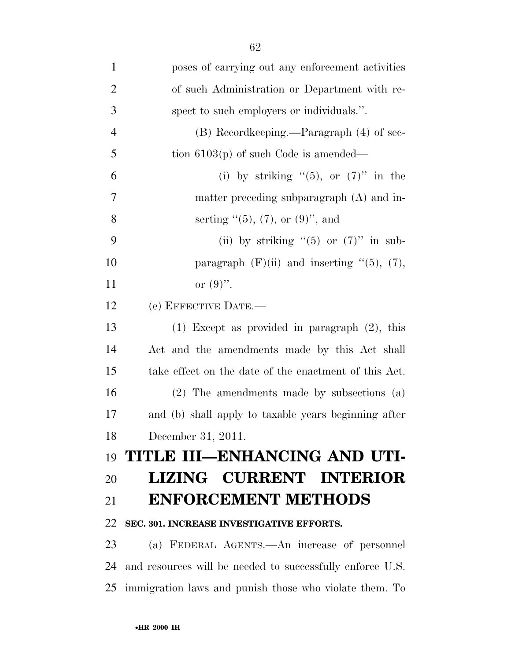| $\mathbf{1}$   | poses of carrying out any enforcement activities          |
|----------------|-----------------------------------------------------------|
| $\overline{2}$ | of such Administration or Department with re-             |
| 3              | spect to such employers or individuals.".                 |
| $\overline{4}$ | (B) Recordkeeping.—Paragraph (4) of sec-                  |
| 5              | tion $6103(p)$ of such Code is amended—                   |
| 6              | (i) by striking " $(5)$ , or $(7)$ " in the               |
| 7              | matter preceding subparagraph (A) and in-                 |
| 8              | serting $(5)$ , (7), or (9)", and                         |
| 9              | (ii) by striking " $(5)$ or $(7)$ " in sub-               |
| 10             | paragraph $(F)(ii)$ and inserting " $(5)$ , $(7)$ ,       |
| 11             | or $(9)$ .                                                |
| 12             | (e) EFFECTIVE DATE.-                                      |
| 13             | $(1)$ Except as provided in paragraph $(2)$ , this        |
| 14             | Act and the amendments made by this Act shall             |
| 15             | take effect on the date of the enactment of this Act.     |
| 16             | (2) The amendments made by subsections (a)                |
| 17             | and (b) shall apply to taxable years beginning after      |
| 18             | December 31, 2011.                                        |
| 19             | TITLE III-ENHANCING AND UTI-                              |
| 20             | LIZING CURRENT INTERIOR                                   |
| 21             | <b>ENFORCEMENT METHODS</b>                                |
| 22             | SEC. 301. INCREASE INVESTIGATIVE EFFORTS.                 |
| 23             | (a) FEDERAL AGENTS.—An increase of personnel              |
| 24             | and resources will be needed to successfully enforce U.S. |
| 25             | immigration laws and punish those who violate them. To    |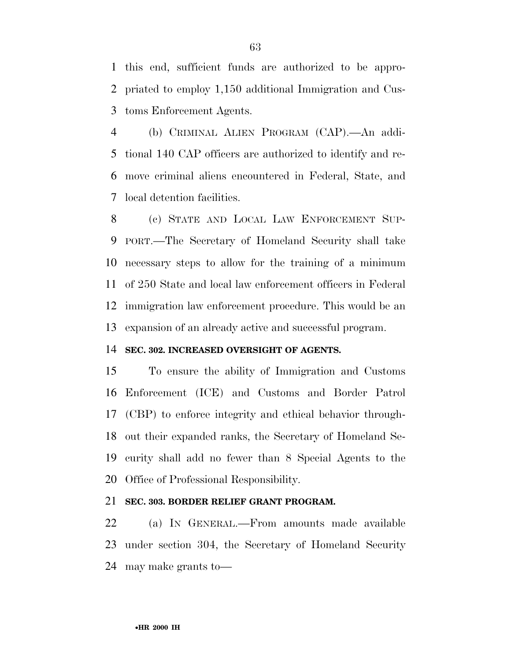this end, sufficient funds are authorized to be appro- priated to employ 1,150 additional Immigration and Cus-toms Enforcement Agents.

 (b) CRIMINAL ALIEN PROGRAM (CAP).—An addi- tional 140 CAP officers are authorized to identify and re- move criminal aliens encountered in Federal, State, and local detention facilities.

 (c) STATE AND LOCAL LAW ENFORCEMENT SUP- PORT.—The Secretary of Homeland Security shall take necessary steps to allow for the training of a minimum of 250 State and local law enforcement officers in Federal immigration law enforcement procedure. This would be an expansion of an already active and successful program.

### **SEC. 302. INCREASED OVERSIGHT OF AGENTS.**

 To ensure the ability of Immigration and Customs Enforcement (ICE) and Customs and Border Patrol (CBP) to enforce integrity and ethical behavior through- out their expanded ranks, the Secretary of Homeland Se- curity shall add no fewer than 8 Special Agents to the Office of Professional Responsibility.

## **SEC. 303. BORDER RELIEF GRANT PROGRAM.**

 (a) IN GENERAL.—From amounts made available under section 304, the Secretary of Homeland Security may make grants to—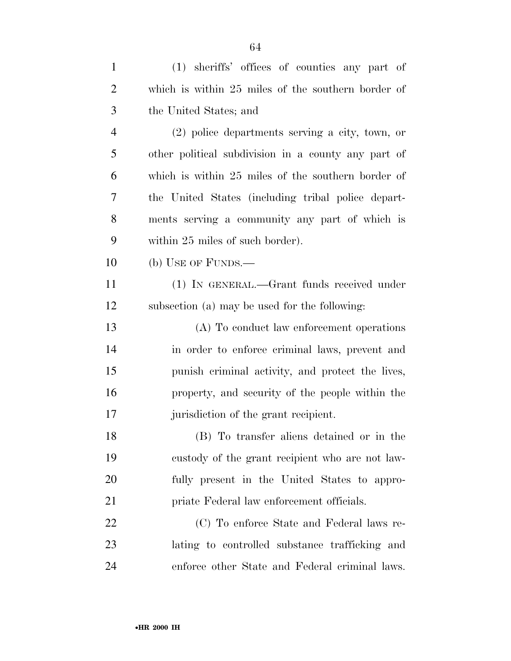| $\mathbf{1}$   | (1) sheriffs' offices of counties any part of       |
|----------------|-----------------------------------------------------|
| $\overline{2}$ | which is within 25 miles of the southern border of  |
| 3              | the United States; and                              |
| $\overline{4}$ | $(2)$ police departments serving a city, town, or   |
| 5              | other political subdivision in a county any part of |
| 6              | which is within 25 miles of the southern border of  |
| 7              | the United States (including tribal police depart-  |
| 8              | ments serving a community any part of which is      |
| 9              | within 25 miles of such border).                    |
| 10             | (b) USE OF FUNDS.—                                  |
| 11             | (1) IN GENERAL.—Grant funds received under          |
| 12             | subsection (a) may be used for the following:       |
| 13             | (A) To conduct law enforcement operations           |
| 14             | in order to enforce criminal laws, prevent and      |
| 15             | punish criminal activity, and protect the lives,    |
| 16             | property, and security of the people within the     |
| 17             | jurisdiction of the grant recipient.                |
| 18             | (B) To transfer aliens detained or in the           |
| 19             | custody of the grant recipient who are not law-     |
| 20             | fully present in the United States to appro-        |
| 21             | priate Federal law enforcement officials.           |
| 22             | (C) To enforce State and Federal laws re-           |
| 23             | lating to controlled substance trafficking and      |
| 24             | enforce other State and Federal criminal laws.      |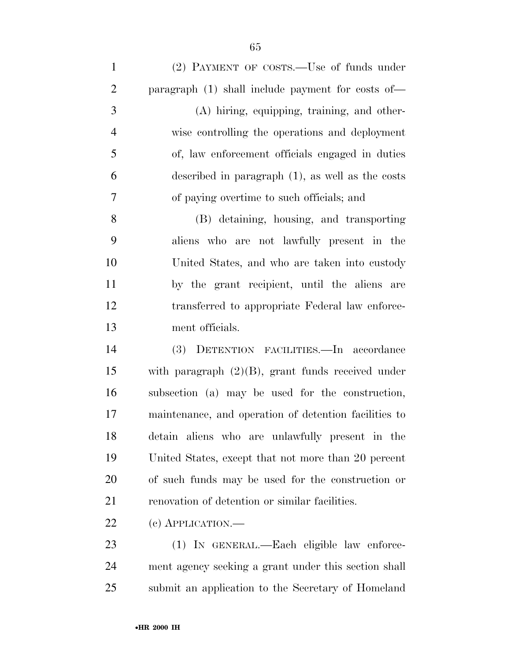| $\mathbf{1}$   | (2) PAYMENT OF COSTS.—Use of funds under              |
|----------------|-------------------------------------------------------|
| $\overline{2}$ | paragraph (1) shall include payment for costs of—     |
| 3              | (A) hiring, equipping, training, and other-           |
| $\overline{4}$ | wise controlling the operations and deployment        |
| 5              | of, law enforcement officials engaged in duties       |
| 6              | described in paragraph $(1)$ , as well as the costs   |
| 7              | of paying overtime to such officials; and             |
| 8              | (B) detaining, housing, and transporting              |
| 9              | aliens who are not lawfully present in the            |
| 10             | United States, and who are taken into custody         |
| 11             | by the grant recipient, until the aliens are          |
| 12             | transferred to appropriate Federal law enforce-       |
| 13             | ment officials.                                       |
| 14             | (3) DETENTION FACILITIES.—In accordance               |
| 15             | with paragraph $(2)(B)$ , grant funds received under  |
| 16             | subsection (a) may be used for the construction,      |
| 17             | maintenance, and operation of detention facilities to |
| 18             | detain aliens who are unlawfully present in the       |
| 19             | United States, except that not more than 20 percent   |
| 20             | of such funds may be used for the construction or     |
| 21             | renovation of detention or similar facilities.        |
|                |                                                       |

22 (c) APPLICATION.—

 (1) IN GENERAL.—Each eligible law enforce- ment agency seeking a grant under this section shall submit an application to the Secretary of Homeland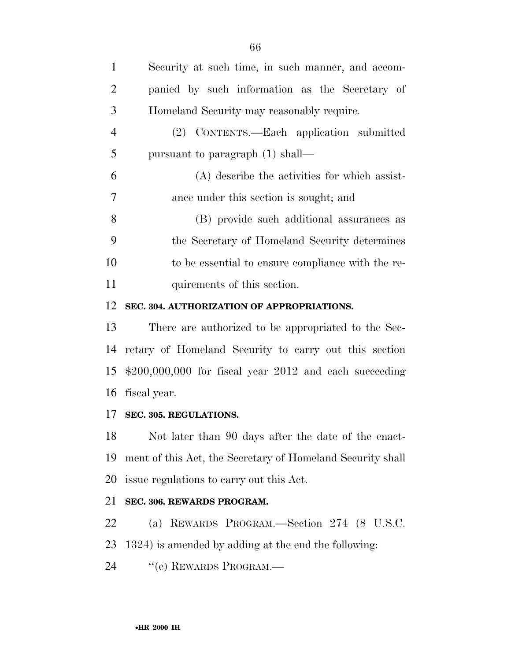| $\mathbf{1}$   | Security at such time, in such manner, and accom- |
|----------------|---------------------------------------------------|
| 2              | panied by such information as the Secretary of    |
| 3              | Homeland Security may reasonably require.         |
| $\overline{4}$ | (2) CONTENTS.—Each application submitted          |
| 5              | pursuant to paragraph (1) shall—                  |
| 6              | (A) describe the activities for which assist-     |
| 7              | ance under this section is sought; and            |
| 8              | (B) provide such additional assurances as         |
| 9              | the Secretary of Homeland Security determines     |
| 10             | to be essential to ensure compliance with the re- |
| 11             | quirements of this section.                       |

#### **SEC. 304. AUTHORIZATION OF APPROPRIATIONS.**

 There are authorized to be appropriated to the Sec- retary of Homeland Security to carry out this section \$200,000,000 for fiscal year 2012 and each succeeding fiscal year.

## **SEC. 305. REGULATIONS.**

 Not later than 90 days after the date of the enact- ment of this Act, the Secretary of Homeland Security shall issue regulations to carry out this Act.

## **SEC. 306. REWARDS PROGRAM.**

(a) REWARDS PROGRAM.—Section 274 (8 U.S.C.

1324) is amended by adding at the end the following:

24 "(e) REWARDS PROGRAM.—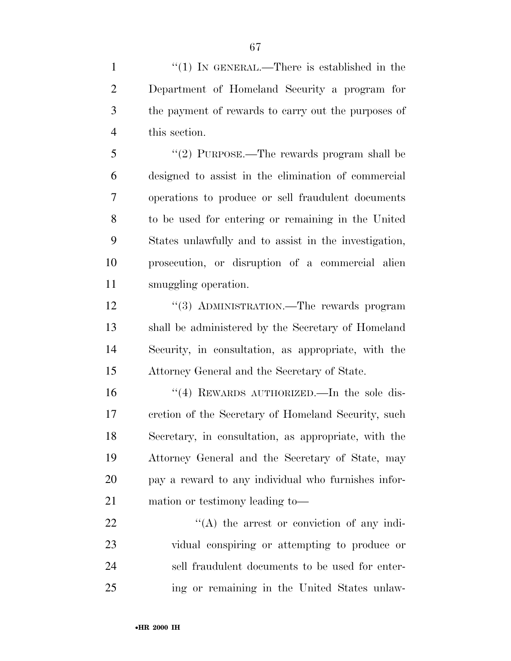1 "(1) IN GENERAL.—There is established in the Department of Homeland Security a program for the payment of rewards to carry out the purposes of this section.

 ''(2) PURPOSE.—The rewards program shall be designed to assist in the elimination of commercial operations to produce or sell fraudulent documents to be used for entering or remaining in the United States unlawfully and to assist in the investigation, prosecution, or disruption of a commercial alien smuggling operation.

12 ''(3) ADMINISTRATION.—The rewards program shall be administered by the Secretary of Homeland Security, in consultation, as appropriate, with the Attorney General and the Secretary of State.

16 "(4) REWARDS AUTHORIZED.—In the sole dis- cretion of the Secretary of Homeland Security, such Secretary, in consultation, as appropriate, with the Attorney General and the Secretary of State, may pay a reward to any individual who furnishes infor-mation or testimony leading to—

 $\langle (A)$  the arrest or conviction of any indi- vidual conspiring or attempting to produce or sell fraudulent documents to be used for enter-ing or remaining in the United States unlaw-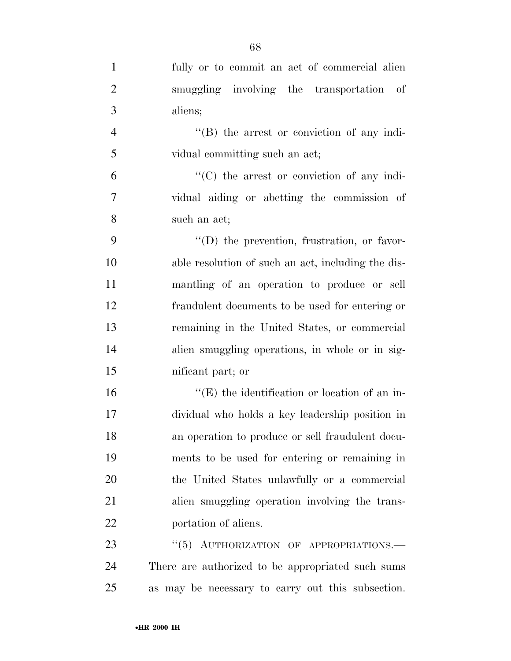| $\mathbf{1}$   | fully or to commit an act of commercial alien        |
|----------------|------------------------------------------------------|
| $\overline{2}$ | smuggling involving the transportation of            |
| 3              | aliens;                                              |
| $\overline{4}$ | $\lq\lq (B)$ the arrest or conviction of any indi-   |
| 5              | vidual committing such an act;                       |
| 6              | $\lq\lq$ (C) the arrest or conviction of any indi-   |
| $\overline{7}$ | vidual aiding or abetting the commission of          |
| 8              | such an act;                                         |
| 9              | $\lq\lq$ the prevention, frustration, or favor-      |
| 10             | able resolution of such an act, including the dis-   |
| 11             | mantling of an operation to produce or sell          |
| 12             | fraudulent documents to be used for entering or      |
| 13             | remaining in the United States, or commercial        |
| 14             | alien smuggling operations, in whole or in sig-      |
| 15             | nificant part; or                                    |
| 16             | $\lq\lq(E)$ the identification or location of an in- |
| 17             | dividual who holds a key leadership position in      |
| 18             | an operation to produce or sell fraudulent docu-     |
| 19             | ments to be used for entering or remaining in        |
| 20             | the United States unlawfully or a commercial         |
| 21             | alien smuggling operation involving the trans-       |
| 22             | portation of aliens.                                 |
| 23             | "(5) AUTHORIZATION OF APPROPRIATIONS.                |
| 24             | There are authorized to be appropriated such sums    |
| 25             | as may be necessary to carry out this subsection.    |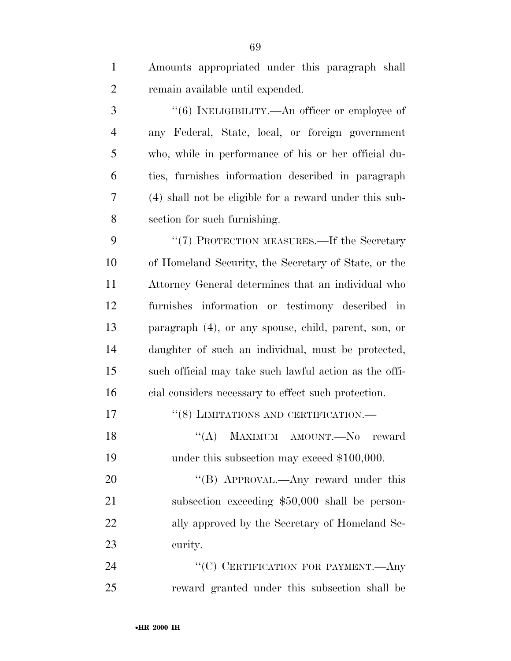Amounts appropriated under this paragraph shall remain available until expended.

 $\frac{4}{6}$  INELIGIBILITY.—An officer or employee of any Federal, State, local, or foreign government who, while in performance of his or her official du- ties, furnishes information described in paragraph (4) shall not be eligible for a reward under this sub-section for such furnishing.

9 "(7) PROTECTION MEASURES.—If the Secretary of Homeland Security, the Secretary of State, or the Attorney General determines that an individual who furnishes information or testimony described in paragraph (4), or any spouse, child, parent, son, or daughter of such an individual, must be protected, such official may take such lawful action as the offi-cial considers necessary to effect such protection.

| 17  |  | $\lq(8)$ LIMITATIONS AND CERTIFICATION.— |  |
|-----|--|------------------------------------------|--|
| -18 |  | "(A) MAXIMUM AMOUNT.—No reward           |  |

19 under this subsection may exceed \$100,000.

20 "(B) APPROVAL.—Any reward under this subsection exceeding \$50,000 shall be person-22 ally approved by the Secretary of Homeland Se-curity.

24 "(C) CERTIFICATION FOR PAYMENT.—Any reward granted under this subsection shall be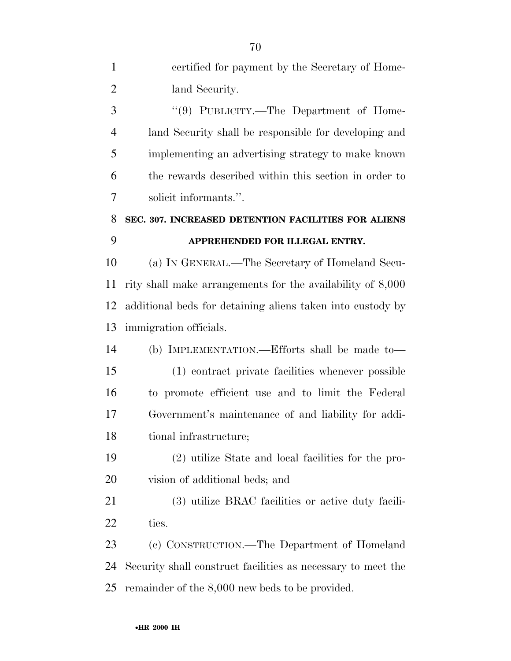| $\mathbf{1}$   | certified for payment by the Secretary of Home-              |
|----------------|--------------------------------------------------------------|
| $\overline{2}$ | land Security.                                               |
| 3              | "(9) PUBLICITY.—The Department of Home-                      |
| $\overline{4}$ | land Security shall be responsible for developing and        |
| 5              | implementing an advertising strategy to make known           |
| 6              | the rewards described within this section in order to        |
| 7              | solicit informants.".                                        |
| 8              | SEC. 307. INCREASED DETENTION FACILITIES FOR ALIENS          |
| 9              | APPREHENDED FOR ILLEGAL ENTRY.                               |
| 10             | (a) IN GENERAL.—The Secretary of Homeland Secu-              |
| 11             | rity shall make arrangements for the availability of 8,000   |
| 12             | additional beds for detaining aliens taken into custody by   |
| 13             | immigration officials.                                       |
| 14             | (b) IMPLEMENTATION.—Efforts shall be made to—                |
| 15             | (1) contract private facilities whenever possible            |
| 16             | to promote efficient use and to limit the Federal            |
| 17             | Government's maintenance of and liability for addi-          |
| 18             | tional infrastructure;                                       |
| 19             | (2) utilize State and local facilities for the pro-          |
| 20             | vision of additional beds; and                               |
| 21             | (3) utilize BRAC facilities or active duty facili-           |
| 22             | ties.                                                        |
| 23             | (c) CONSTRUCTION.—The Department of Homeland                 |
| 24             | Security shall construct facilities as necessary to meet the |
| 25             | remainder of the 8,000 new beds to be provided.              |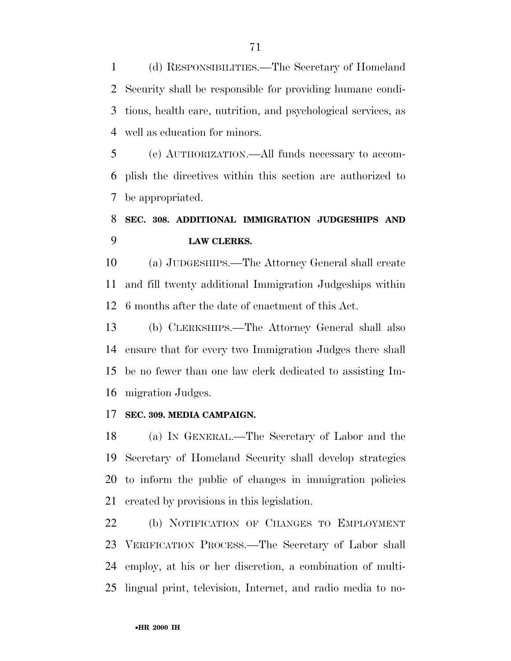(d) RESPONSIBILITIES.—The Secretary of Homeland Security shall be responsible for providing humane condi- tions, health care, nutrition, and psychological services, as well as education for minors.

 (e) AUTHORIZATION.—All funds necessary to accom- plish the directives within this section are authorized to be appropriated.

# **SEC. 308. ADDITIONAL IMMIGRATION JUDGESHIPS AND LAW CLERKS.**

 (a) JUDGESHIPS.—The Attorney General shall create and fill twenty additional Immigration Judgeships within 6 months after the date of enactment of this Act.

 (b) CLERKSHIPS.—The Attorney General shall also ensure that for every two Immigration Judges there shall be no fewer than one law clerk dedicated to assisting Im-migration Judges.

#### **SEC. 309. MEDIA CAMPAIGN.**

 (a) IN GENERAL.—The Secretary of Labor and the Secretary of Homeland Security shall develop strategies to inform the public of changes in immigration policies created by provisions in this legislation.

 (b) NOTIFICATION OF CHANGES TO EMPLOYMENT VERIFICATION PROCESS.—The Secretary of Labor shall employ, at his or her discretion, a combination of multi-lingual print, television, Internet, and radio media to no